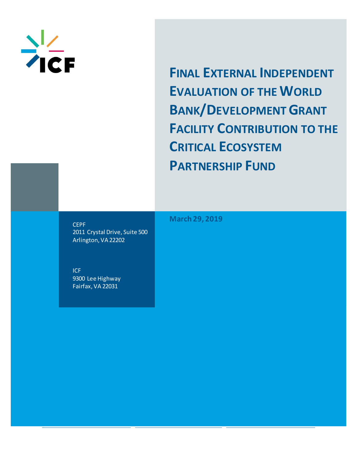

**FINAL EXTERNAL INDEPENDENT EVALUATION OF THE WORLD BANK/DEVELOPMENT GRANT FACILITY CONTRIBUTION TO THE CRITICAL ECOSYSTEM PARTNERSHIP FUND** 

**CEPF** 2011 Crystal Drive, Suite 500 Arlington, VA 22202

ICF 9300 Lee Highway Fairfax, VA 22031

**March 29, 2019**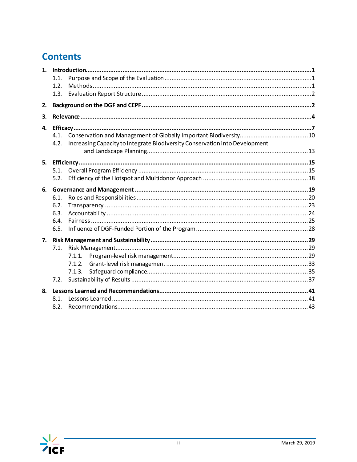# **Contents**

| 1. |      |                                                                             |  |  |  |  |  |  |  |
|----|------|-----------------------------------------------------------------------------|--|--|--|--|--|--|--|
|    | 1.1. |                                                                             |  |  |  |  |  |  |  |
|    | 1.2. |                                                                             |  |  |  |  |  |  |  |
|    | 1.3. |                                                                             |  |  |  |  |  |  |  |
| 2. |      |                                                                             |  |  |  |  |  |  |  |
| 3. |      |                                                                             |  |  |  |  |  |  |  |
| 4. |      |                                                                             |  |  |  |  |  |  |  |
|    | 4.1. |                                                                             |  |  |  |  |  |  |  |
|    | 4.2. | Increasing Capacity to Integrate Biodiversity Conservation into Development |  |  |  |  |  |  |  |
|    |      |                                                                             |  |  |  |  |  |  |  |
| 5. |      |                                                                             |  |  |  |  |  |  |  |
|    | 5.1. |                                                                             |  |  |  |  |  |  |  |
|    | 5.2. |                                                                             |  |  |  |  |  |  |  |
| 6. |      |                                                                             |  |  |  |  |  |  |  |
|    | 6.1. |                                                                             |  |  |  |  |  |  |  |
|    | 6.2. |                                                                             |  |  |  |  |  |  |  |
|    | 6.3. |                                                                             |  |  |  |  |  |  |  |
|    | 6.4. |                                                                             |  |  |  |  |  |  |  |
|    | 6.5. |                                                                             |  |  |  |  |  |  |  |
| 7. |      |                                                                             |  |  |  |  |  |  |  |
|    | 7.1. |                                                                             |  |  |  |  |  |  |  |
|    |      | 7.1.1.                                                                      |  |  |  |  |  |  |  |
|    |      | 7.1.2.                                                                      |  |  |  |  |  |  |  |
|    |      | 7.1.3.                                                                      |  |  |  |  |  |  |  |
|    | 7.2. |                                                                             |  |  |  |  |  |  |  |
| 8. |      |                                                                             |  |  |  |  |  |  |  |
|    | 8.1. |                                                                             |  |  |  |  |  |  |  |
|    | 8.2. |                                                                             |  |  |  |  |  |  |  |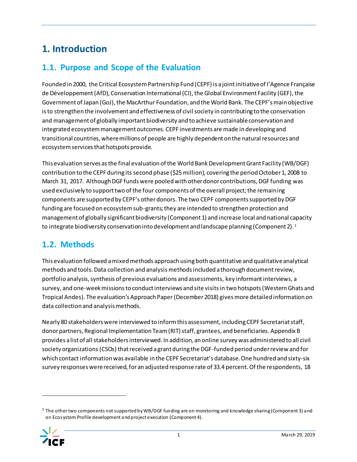# <span id="page-2-0"></span>**1. Introduction**

## <span id="page-2-1"></span>**1.1. Purpose and Scope of the Evaluation**

Founded in 2000, the Critical Ecosystem Partnership Fund (CEPF) is a joint initiative of l'Agence Française de Développement(AfD), Conservation International(CI), the Global Environment Facility (GEF), the Government of Japan (GoJ), the MacArthur Foundation, and the World Bank. The CEPF's main objective is to strengthen the involvement and effectiveness of civil society in contributing to the conservation and management of globally important biodiversity and to achieve sustainable conservation and integrated ecosystem management outcomes. CEPF investments are made in developing and transitional countries, where millions of people are highly dependent on the natural resources and ecosystem services that hotspots provide.

This evaluation serves as the final evaluation of the World Bank Development Grant Facility (WB/DGF) contribution to the CEPF during its second phase (\$25 million), covering the period October 1, 2008 to March 31, 2017. Although DGF funds were pooled with other donor contributions, DGF funding was used exclusively to support two of the four components of the overall project; the remaining components are supported by CEPF's other donors. The two CEPF components supported by DGF funding are focused on ecosystem sub-grants; they are intended to strengthen protection and management of globally significant biodiversity (Component 1) and increase local and national capacity to integrate biodiversity conservation into development and landscape planning (Component 2).<sup>1</sup>

## <span id="page-2-2"></span>**1.2. Methods**

This evaluation followed a mixed methods approach using both quantitative and qualitative analytical methods and tools. Data collection and analysismethods included a thorough document review, portfolio analysis, synthesis of previous evaluations and assessments, key informant interviews, a survey, and one-week missions to conduct interviews and site visits in two hotspots (Western Ghats and Tropical Andes). The evaluation's Approach Paper (December 2018) gives more detailed information on data collection and analysis methods.

Nearly 80 stakeholders were interviewed to inform this assessment, including CEPF Secretariat staff, donor partners, Regional Implementation Team (RIT) staff, grantees, and beneficiaries[. Appendix B](#page-49-0) provides a list of all stakeholders interviewed. In addition, an online survey was administered to all civil society organizations (CSOs) that received a grant during the DGF-funded period under review and for which contact information was available in the CEPF Secretariat's database. One hundred and sixty-six survey responses were received, for an adjusted response rate of 33.4 percent. Of the respondents, 18

<sup>1</sup> The other two components not supported by WB/DGF funding are on monitoring and knowledge sharing (Component 3) and on Ecosystem Profile development and project execution (Component 4).

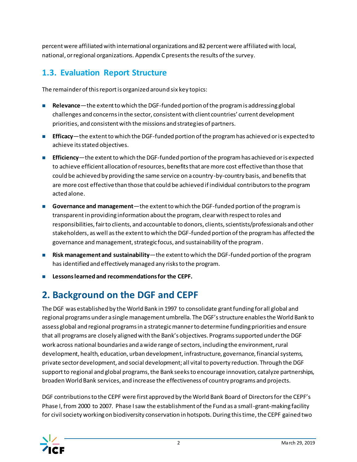percent were affiliated with international organizations and 82 percent were affiliated with local, national, or regional organizations[. Appendix C](#page-52-0) presents the results of the survey.

## <span id="page-3-0"></span>**1.3. Evaluation Report Structure**

The remainder of this report is organized around six key topics:

- **Relevance**—the extent to which the DGF-funded portion of the program is addressing global challenges and concerns in the sector, consistent with client countries' current development priorities, and consistent with the missions and strategies of partners.
- **Efficacy**—the extent to which the DGF-funded portion of the program has achieved or is expected to achieve its stated objectives.
- **Efficiency**—the extent to which the DGF-funded portion of the program has achieved or is expected to achieve efficient allocation of resources, benefits that are more cost effective than those that could be achieved by providing the same service on a country-by-country basis, and benefits that are more cost effective than those that could be achieved if individual contributors to the program acted alone.
- **Governance and management**—the extent to which the DGF-funded portion of the program is transparent in providing information about the program, clear with respect to roles and responsibilities, fair to clients, and accountable to donors, clients, scientists/professionals and other stakeholders, as well as the extent to which the DGF-funded portion of the program has affected the governance and management, strategic focus, and sustainability of the program.
- **Risk management and sustainability**—the extent to which the DGF-funded portion of the program has identified and effectively managed any risks to the program.
- ◼ **Lessons learned and recommendations for the CEPF.**

# <span id="page-3-1"></span>**2. Background on the DGF and CEPF**

The DGF was established by the World Bank in 1997 to consolidate grant funding for all global and regional programs under a single management umbrella. The DGF's structure enables the World Bank to assess global and regional programs in a strategic manner to determine funding priorities and ensure that all programs are closely aligned with the Bank's objectives. Programs supported under the DGF work across national boundaries and a wide range of sectors, including the environment, rural development, health, education, urban development, infrastructure, governance, financial systems, private sector development, and social development; all vital to poverty reduction. Through the DGF support to regional and global programs, the Bank seeks to encourage innovation, catalyze partnerships, broaden World Bank services, and increase the effectiveness of country programs and projects.

DGF contributions to the CEPF were first approved by the World Bank Board of Directors for the CEPF's Phase I,from 2000 to 2007. Phase I saw the establishment of the Fund as a small-grant-making facility for civil society working on biodiversity conservation in hotspots. During this time, the CEPF gained two

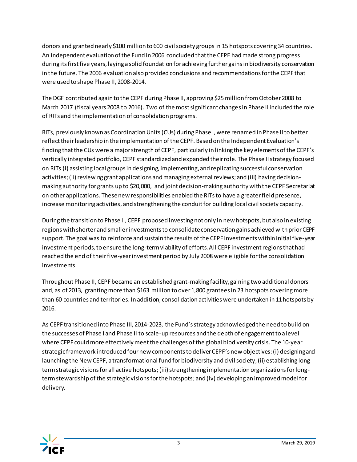donors and granted nearly \$100 million to 600 civil society groups in 15 hotspots covering 34 countries. An independent evaluation of the Fund in 2006 concluded that the CEPF had made strong progress during its first five years, laying a solid foundation for achieving further gains in biodiversity conservation in the future. The 2006 evaluation also provided conclusions and recommendations for the CEPF that were used to shape Phase II, 2008-2014.

The DGF contributed again to the CEPF during Phase II, approving \$25 million from October 2008 to March 2017 (fiscal years 2008 to 2016). Two of the most significant changesin Phase II included the role of RITs and the implementation of consolidation programs.

RITs, previously known as Coordination Units(CUs) during Phase I, were renamed in Phase II to better reflect their leadership in the implementation of the CEPF. Based on the Independent Evaluation's finding that the CUs were a major strength of CEPF, particularly in linking the key elements of the CEPF's vertically integrated portfolio, CEPF standardized and expanded their role. The Phase II strategy focused on RITs (i) assisting local groups in designing, implementing,and replicating successful conservation activities; (ii) reviewing grant applications and managing external reviews; and (iii) having decisionmaking authority for grants up to \$20,000, and joint decision-making authority with the CEPF Secretariat on other applications. These new responsibilities enabled the RITs to have a greater field presence, increase monitoring activities, and strengthening the conduit for building local civil society capacity.

During the transition to Phase II, CEPF proposed investing not only in new hotspots, but also in existing regions with shorter and smaller investments to consolidate conservation gains achieved with prior CEPF support. The goal was to reinforce and sustain the results of the CEPF investments within initial five-year investment periods, to ensure the long-term viability of efforts. All CEPF investment regions that had reached the end of their five-year investment period by July 2008 were eligible for the consolidation investments.

Throughout Phase II, CEPF became an established grant-making facility, gaining two additional donors and, as of 2013, grantingmore than \$163 million to over 1,800 grantees in 23 hotspots covering more than 60 countries and territories. In addition, consolidation activities were undertaken in 11 hotspots by 2016.

As CEPF transitioned into Phase III, 2014-2023, the Fund's strategy acknowledged the need to build on the successes of Phase I and Phase II to scale-up resources and the depth of engagement to a level where CEPF could more effectively meet the challenges of the global biodiversity crisis. The 10-year strategic framework introduced four new components to deliver CEPF's new objectives: (i) designing and launching the New CEPF, a transformational fund for biodiversity and civil society; (ii) establishing longterm strategic visions for all active hotspots;(iii) strengthening implementation organizations for longterm stewardship of the strategic visions for the hotspots; and (iv) developing an improved model for delivery.

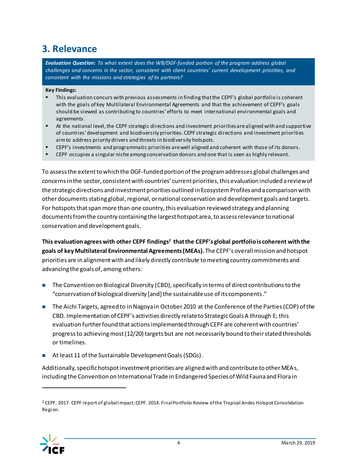## <span id="page-5-0"></span>**3. Relevance**

*Evaluation Question: To what extent does the WB/DGF-funded portion of the program address global challenges and concerns in the sector, consistent with client countries' current development priorities, and consistent with the missions and strategies of its partners?*

#### **Key Findings:**

- This evaluation concurs with previous assessments in finding that the CEPF's global portfolio is coherent with the goals of key Multilateral Environmental Agreements and that the achievement of CEPF's goals should be viewed as contributing to countries' efforts to meet international environmental goals and agreements.
- At the national level, the CEPF strategic directions and investment priorities are aligned with and supportive of countries' development and biodiversity priorities. CEPF strategic directions and investment priorities aim to address priority drivers and threats in biodiversity hotspots.
- **EPF's investments and programmatic priorities are well aligned and coherent with those of its donors.**
- **EPF** occupies a singular niche among conservation donors and one that is seen as highly relevant.

To assess the extent to which the DGF-funded portion of the program addresses global challenges and concerns in the sector, consistent with countries' current priorities, this evaluation included a review of the strategic directions and investment priorities outlined in Ecosystem Profiles and a comparison with other documents stating global, regional, or national conservation and development goals and targets. For hotspots that span more than one country, this evaluation reviewed strategy and planning documents from the country containing the largest hotspot area, to assess relevance to national conservation and development goals.

**This evaluation agrees with other CEPF findings<sup>2</sup> that the CEPF's global portfolio is coherent with the goals of key Multilateral Environmental Agreements (MEAs).** The CEPF's overall mission and hotspot priorities are in alignment with and likely directly contribute to meeting country commitments and advancing the goals of, among others:

- The Convention on Biological Diversity (CBD), specifically in terms of direct contributions to the "conservation of biological diversity [and] the sustainable use of its components."
- The Aichi Targets, agreed to in Nagoya in October 2010 at the Conference of the Parties (COP) of the CBD. Implementation of CEPF's activities directly relate to Strategic Goals A through E; this evaluation further found that actions implemented through CEPF are coherent with countries' progress to achieving most (12/20) targets but are not necessarily bound to their stated thresholds or timelines.
- At least 11 of the Sustainable Development Goals (SDGs).

Additionally, specific hotspot investment priorities are aligned with and contribute to other MEAs, including the Convention on International Trade in Endangered Species of Wild Fauna and Flora in

<sup>&</sup>lt;sup>2</sup> CEPF. 2017. CEPF report of globalimpact; CEPF. 2014. Final Portfolio Review of the Tropical Andes Hotspot Consolidation Region.

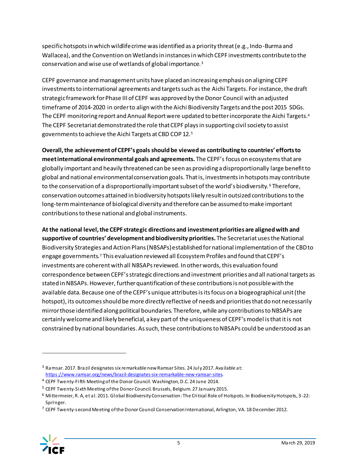specific hotspots in which wildlife crime was identified as a priority threat (e.g., Indo-Burma and Wallacea), and the Convention on Wetlands in instances in which CEPF investments contribute to the conservation and wise use of wetlands of global importance. <sup>3</sup>

CEPF governance and management units have placed an increasing emphasis on aligning CEPF investments to international agreements and targets such as the Aichi Targets. For instance, the draft strategic framework for Phase III of CEPF was approved by the Donor Council with an adjusted timeframe of 2014-2020 in order to align with the Aichi Biodiversity Targets and the post 2015 SDGs. The CEPF monitoring report and Annual Report were updated to better incorporate the Aichi Targets.<sup>4</sup> The CEPF Secretariat demonstrated the role that CEPF plays in supporting civil society to assist governments to achieve the Aichi Targets at CBD COP 12.<sup>5</sup>

**Overall, the achievement of CEPF's goals should be viewed as contributing to countries' efforts to meet international environmental goals and agreements.** The CEPF's focus on ecosystems that are globally important and heavily threatened can be seen as providing a disproportionally large benefit to global and national environmental conservation goals. That is, investments in hotspots may contribute to the conservation of a disproportionally important subset of the world's biodiversity.<sup>6</sup> Therefore, conservation outcomes attained in biodiversity hotspots likely result in outsized contributions to the long-term maintenance of biological diversity and therefore can be assumed to make important contributions to these national and global instruments.

**At the national level, the CEPF strategic directions and investment priorities are aligned with and supportive of countries' development and biodiversity priorities.** The Secretariat uses the National Biodiversity Strategies and Action Plans (NBSAPs) established for national implementation of the CBD to engage governments.<sup>7</sup> This evaluation reviewed all Ecosystem Profiles and found that CEPF's investments are coherent with all NBSAPs reviewed. In other words, this evaluation found correspondence between CEPF's strategic directions and investment priorities and all national targets as stated in NBSAPs. However, further quantification of these contributions is not possible with the available data. Because one of the CEPF's unique attributes is its focus on a biogeographical unit (the hotspot), its outcomes should be more directly reflective of needs and priorities that do not necessarily mirror those identified along political boundaries. Therefore, while any contributions to NBSAPs are certainly welcome and likely beneficial, a key part of the uniqueness of CEPF's model is that it is not constrained by national boundaries. As such, these contributions to NBSAPs could be understood as an

 $7$  CEPF Twenty-second Meeting of the Donor Council Conservation International, Arlington, VA. 18 December 2012.



<sup>3</sup> Ramsar. 2017. Brazil designates six remarkable new Ramsar Sites. 24 July 2017. Available at: <https://www.ramsar.org/news/brazil-designates-six-remarkable-new-ramsar-sites>.

<sup>4</sup> CEPF Twenty-Fifth Meeting of the Donor Council. Washington, D.C. 24 June 2014.

<sup>5</sup> CEPF Twenty-Sixth Meeting of the Donor Council. Brussels, Belgium. 27 January 2015.

<sup>6</sup> Mittermeier, R. A, et al. 2011. Global Biodiversity Conservation: The Critical Role of Hotspots. In Biodiversity Hotspots, 3-22: Springer.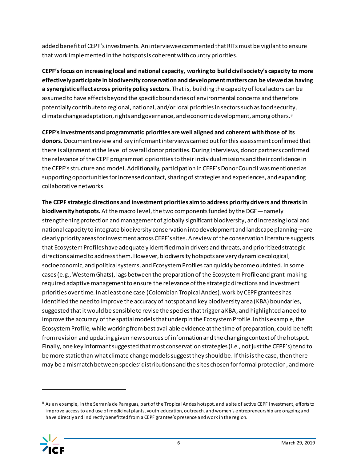added benefit of CEPF's investments. An interviewee commented that RITs must be vigilant to ensure that work implemented in the hotspots is coherent with country priorities.

**CEPF's focus on increasing local and national capacity, working to build civil society's capacity to more effectively participate in biodiversity conservation and development matters can be viewed as having a synergistic effect across priority policy sectors.** That is, building the capacity of local actors can be assumed to have effects beyond the specific boundaries of environmental concerns and therefore potentially contribute to regional, national, and/or local priorities in sectors such as food security, climate change adaptation, rights and governance, and economic development, among others. $^8$ 

**CEPF's investments and programmatic priorities are well aligned and coherent with those of its donors.** Document review and key informant interviews carried out for this assessment confirmed that there is alignment at the level of overall donor priorities. During interviews, donor partners confirmed the relevance of the CEPF programmatic priorities to their individual missions and their confidence in the CEPF's structure and model. Additionally, participation in CEPF's Donor Council was mentioned as supporting opportunities for increased contact, sharing of strategies and experiences, and expanding collaborative networks.

**The CEPF strategic directions and investment priorities aim to address priority drivers and threats in biodiversity hotspots.** At the macro level, the two components funded by the DGF—namely strengthening protection and management of globally significant biodiversity, and increasing local and national capacity to integrate biodiversity conservation into development and landscape planning—are clearly priority areas for investment across CEPF's sites. A review of the conservation literature suggests that Ecosystem Profiles have adequately identified main drivers and threats, and prioritized strategic directions aimed to address them. However, biodiversity hotspots are very dynamic ecological, socioeconomic, and political systems, and Ecosystem Profiles can quickly become outdated. In some cases (e.g., Western Ghats), lags between the preparation of the Ecosystem Profile and grant-making required adaptive management to ensure the relevance of the strategic directions and investment priorities over time. In at least one case (Colombian Tropical Andes), work by CEPF grantees has identified the need to improve the accuracy of hotspot and key biodiversity area (KBA) boundaries, suggested that it would be sensible to revise the species that trigger a KBA, and highlighted a need to improve the accuracy of the spatial models that underpin the Ecosystem Profile. In this example, the Ecosystem Profile, while working from best available evidence at the time of preparation, could benefit from revision and updating given new sources of information and the changing context of the hotspot. Finally, one key informant suggested that most conservation strategies (i.e., not just the CEPF's) tend to be more static than what climate change models suggest they should be. If this is the case, then there may be a mismatch between species'distributions and the sites chosen for formal protection, and more

<sup>8</sup> As an example, in the Serranía de Paraguas, part of the Tropical Andes hotspot, and a site of active CEPF investment, efforts to improve access to and use of medicinal plants, youth education, outreach, and women's entrepreneurship are ongoing and have directly and indirectly benefitted from a CEPF grantee's presence and work in the region.

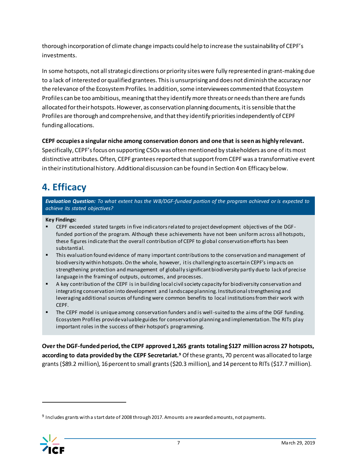thorough incorporation of climate change impacts could help to increase the sustainability of CEPF's investments.

In some hotspots, not all strategic directions or priority sites were fully represented in grant-making due to a lack of interested or qualified grantees. This is unsurprising and does not diminish the accuracy nor the relevance of the Ecosystem Profiles. In addition, some interviewees commented that Ecosystem Profiles can be too ambitious, meaning that they identify more threats or needs than there are funds allocated for their hotspots. However, as conservation planning documents, it is sensible that the Profiles are thorough and comprehensive, and that they identify priorities independently of CEPF funding allocations.

**CEPF occupies a singular niche among conservation donors and one that is seen as highly relevant.** Specifically, CEPF's focus on supporting CSOs was often mentioned by stakeholders as one of its most distinctive attributes. Often, CEPF grantees reported thatsupport from CEPF was a transformative event in their institutional history. Additional discussion can be found in Sectio[n 4](#page-8-0)on Efficacy below.

# <span id="page-8-0"></span>**4. Efficacy**

*Evaluation Question: To what extent has the WB/DGF-funded portion of the program achieved or is expected to achieve its stated objectives?*

#### **Key Findings:**

- CEPF exceeded stated targets in five indicators related to project development objectives of the DGFfunded portion of the program. Although these achievements have not been uniform across all hotspots, these figures indicate that the overall contribution of CEPF to global conservation efforts has been substantial.
- **■** This evaluation found evidence of many important contributions to the conservation and management of biodiversity within hotspots. On the whole, however, it is challenging to ascertain CEPF's impacts on strengthening protection and management of globally significant biodiversity partly due to lack of precise language in the framing of outputs, outcomes, and processes.
- A key contribution of the CEPF is in building local civil society capacity for biodiversity conservation and integrating conservation into development and landscape planning. Institutional strengthening and leveraging additional sources of funding were common benefits to local institutions from their work with CEPF.
- **•** The CEPF model is unique among conservation funders and is well-suited to the aims of the DGF funding. Ecosystem Profiles provide valuable guides for conservation planning and implementation. The RITs play important roles in the success of their hotspot's programming.

**Over the DGF-funded period, the CEPF approved 1,265 grants totaling \$127 million across 27 hotspots, according to data provided by the CEPF Secretariat.<sup>9</sup>** Of these grants, 70 percent was allocated to large grants (\$89.2 million), 16 percent to small grants (\$20.3 million), and 14 percent to RITs (\$17.7 million).

<sup>&</sup>lt;sup>9</sup> Includes grants with a start date of 2008 through 2017. Amounts are awarded amounts, not payments.

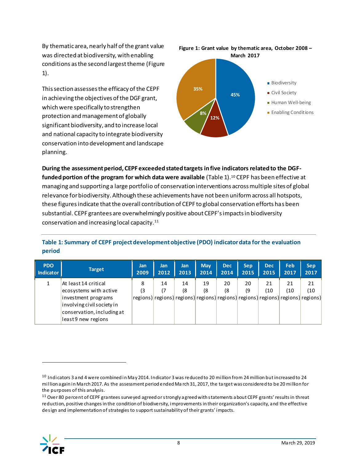By thematic area, nearly half of the grant value was directed at biodiversity, with enabling conditions as the second largest theme [\(Figure](#page-9-0)  [1\)](#page-9-0).

This section assesses the efficacy of the CEPF in achieving the objectives of the DGF grant, which were specifically to strengthen protection and management of globally significant biodiversity, and to increase local and national capacity to integrate biodiversity conservation into development and landscape planning.

<span id="page-9-0"></span>

**During the assessment period, CEPF exceeded stated targets in five indicators related to the DGFfunded portion of the program for which data were available** [\(Table 1\)](#page-9-1).<sup>10</sup> CEPF has been effective at managing and supporting a large portfolio of conservation interventions across multiple sites of global relevance for biodiversity. Although these achievements have not been uniform across all hotspots, these figures indicate that the overall contribution of CEPF to global conservation efforts has been substantial. CEPF grantees are overwhelmingly positive about CEPF's impacts in biodiversity conservation and increasing local capacity.<sup>11</sup>

### <span id="page-9-1"></span>**Table 1: Summary of CEPF project development objective (PDO) indicator data for the evaluation period**

| <b>PDO</b> | <b>Target</b>                                                                                                                                           | <b>Jan</b> | Jan      | <b>Jan</b> | <b>May</b> | <b>Dec</b> | Sep.     | <b>Dec</b> | Feb       | <b>Sep</b>                                                                                     |
|------------|---------------------------------------------------------------------------------------------------------------------------------------------------------|------------|----------|------------|------------|------------|----------|------------|-----------|------------------------------------------------------------------------------------------------|
| Indicator  |                                                                                                                                                         | 2009       | 2012     | 2013       | 2014       | 2014       | 2015     | 2015       | 2017      | 2017                                                                                           |
|            | At least 14 critical<br>ecosystems with active<br>investment programs<br>involving civil society in<br>conservation, including at<br>least9 new regions | 8<br>(3    | 14<br>17 | 14<br>18   | 19<br>(8   | 20<br>(8   | 20<br>٥) | 21<br>(10  | 21<br>(10 | 21<br>(10)<br>regions) regions) regions) regions) regions) regions) regions) regions) regions) |

<sup>&</sup>lt;sup>11</sup> Over 80 percent of CEPF grantees surveyed agreed or strongly agreed with statements about CEPF grants' results in threat reduction, positive changes in the condition of biodiversity, improvements in their organization's capacity, and the effective design and implementation of strategies to support sustainability of their grants' impacts.



<sup>&</sup>lt;sup>10</sup> Indicators 3 and 4 were combined in May 2014. Indicator 3 was reduced to 20 million from 24 million but increased to 24 million again in March 2017. As the assessment period ended Ma rch 31, 2017, the target was considered to be 20 million for the purposes of this analysis.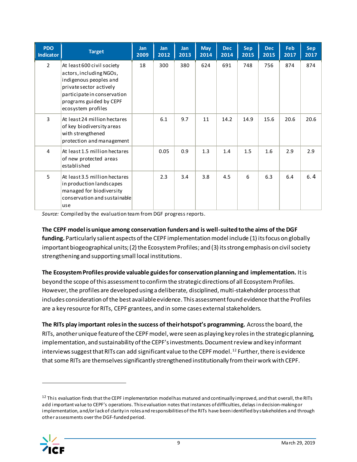| <b>PDO</b><br><b>Indicator</b> | <b>Target</b>                                                                                                                                                                              | <b>Jan</b><br>2009 | <b>Jan</b><br>2012 | <b>Jan</b><br>2013 | <b>May</b><br>2014 | <b>Dec</b><br>2014 | <b>Sep</b><br>2015 | <b>Dec</b><br>2015 | Feb<br>2017 | <b>Sep</b><br>2017 |
|--------------------------------|--------------------------------------------------------------------------------------------------------------------------------------------------------------------------------------------|--------------------|--------------------|--------------------|--------------------|--------------------|--------------------|--------------------|-------------|--------------------|
| $\mathfrak{D}$                 | At least 600 civil society<br>actors, including NGOs,<br>indigenous peoples and<br>private sector actively<br>participate in conservation<br>programs guided by CEPF<br>ecosystem profiles | 18                 | 300                | 380                | 624                | 691                | 748                | 756                | 874         | 874                |
| 3                              | At least 24 million hectares<br>of key biodiversity areas<br>with strengthened<br>protection and management                                                                                |                    | 6.1                | 9.7                | 11                 | 14.2               | 14.9               | 15.6               | 20.6        | 20.6               |
| 4                              | At least 1.5 million hectares<br>of new protected areas<br>established                                                                                                                     |                    | 0.05               | 0.9                | 1.3                | 1.4                | 1.5                | 1.6                | 2.9         | 2.9                |
| 5.                             | At least 3.5 million hectares<br>in production landscapes<br>managed for biodiversity<br>conservation and sustainable<br>use                                                               |                    | 2.3                | 3.4                | 3.8                | 4.5                | 6                  | 6.3                | 6.4         | 6.4                |

*Source:* Compiled by the evaluation team from DGF progress reports.

**The CEPF model is unique among conservation funders and is well-suited to the aims of the DGF funding.** Particularly salient aspects of the CEPF implementation model include (1) its focus on globally important biogeographical units;(2) the Ecosystem Profiles; and (3) its strong emphasis on civil society strengthening and supporting small local institutions.

**The Ecosystem Profiles provide valuable guides for conservation planning and implementation.** It is beyond the scope of this assessment to confirm the strategic directions of all Ecosystem Profiles. However, the profiles are developed using a deliberate, disciplined, multi-stakeholder process that includes consideration of the best available evidence. This assessment found evidence that the Profiles are a key resource for RITs, CEPF grantees, and in some cases external stakeholders.

**The RITs play important roles in the success of their hotspot's programming.** Across the board, the RITs, another unique feature of the CEPF model, were seen as playing key roles in the strategic planning, implementation, and sustainability of the CEPF's investments. Document review and key informant interviews suggest that RITs can add significant value to the CEPF model.<sup>12</sup> Further, there is evidence that some RITs are themselves significantly strengthened institutionally from their work with CEPF.

<sup>&</sup>lt;sup>12</sup> This evaluation finds that the CEPF implementation model has matured and continually improved, and that overall, the RITs add important value to CEPF's operations. This evaluation notes that instances of difficulties, delays i n decision-making or implementation, and/or lack of clarity in roles and responsibilities of the RITs have been identified by stakeholders and through other assessments over the DGF-funded period.

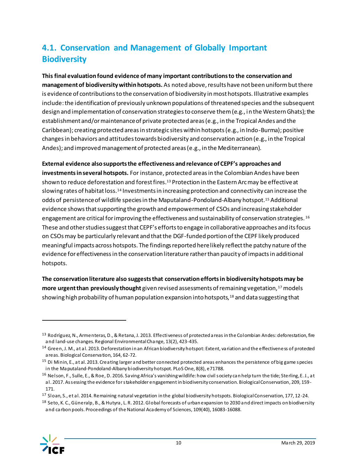## <span id="page-11-0"></span>**4.1. Conservation and Management of Globally Important Biodiversity**

**This final evaluation found evidence of many important contributions to the conservation and management of biodiversity within hotspots.** As noted above, results have not been uniform but there is evidence of contributions to the conservation of biodiversity in most hotspots. Illustrative examples include: the identification of previously unknown populations of threatened species and the subsequent design and implementation of conservation strategies to conserve them (e.g., in the Western Ghats); the establishment and/or maintenance of private protected areas (e.g., in the Tropical Andes and the Caribbean); creating protected areas in strategic sites within hotspots (e.g., in Indo-Burma); positive changes in behaviors and attitudes towards biodiversity and conservation action (e.g., in the Tropical Andes); and improved management of protected areas (e.g., in the Mediterranean).

**External evidence also supports the effectiveness and relevance of CEPF's approaches and investments in several hotspots.** For instance, protected areas in the Colombian Andes have been shown to reduce deforestation and forest fires. <sup>13</sup> Protection in the Eastern Arc may be effective at slowing rates of habitat loss.<sup>14</sup> Investments in increasing protection and connectivity can increase the odds of persistence of wildlife species in the Maputaland-Pondoland-Albany hotspot.<sup>15</sup> Additional evidence shows that supporting the growth and empowerment of CSOs and increasing stakeholder engagement are critical for improving the effectiveness and sustainability of conservation strategies. <sup>16</sup> These and other studies suggest that CEPF's efforts to engage in collaborative approaches and its focus on CSOsmay be particularly relevant and that the DGF-funded portion of the CEPF likely produced meaningful impacts across hotspots. The findings reported here likely reflect the patchy nature of the evidence for effectiveness in the conservation literature rather than paucity of impacts in additional hotspots.

**The conservation literature also suggests that conservation efforts in biodiversity hotspots may be**  more urgent than previously thought given revised assessments of remaining vegetation,<sup>17</sup> models showing high probability of human population expansion into hotspots,<sup>18</sup> and data suggesting that

<sup>&</sup>lt;sup>18</sup> Seto, K. C., Güneralp, B., & Hutyra, L. R. 2012. Global forecasts of urban expansion to 2030 and direct impacts on biodiversity and carbon pools. Proceedings of the National Academy of Sciences, 109(40), 16083-16088.



 $\overline{a}$ 

<sup>13</sup> Rodríguez, N., Armenteras, D., & Retana, J. 2013. Effectiveness of protected areas in the Colombian Andes: deforestation, fire and land-use changes. Regional Environmental Change, 13(2), 423-435.

<sup>14</sup> Green, J. M., at al. 2013. Deforestation in an African biodiversity hotspot: Extent, variation and the effectiveness of protected areas. Biological Conservation, 164, 62-72.

<sup>&</sup>lt;sup>15</sup> Di Minin, E., at al. 2013. Creating larger and better connected protected areas enhances the persistence of big game species in the Maputaland-Pondoland-Albany biodiversity hotspot. PLoS One, 8(8), e71788.

<sup>&</sup>lt;sup>16</sup> Nelson, F., Sulle, E., & Roe, D. 2016. Saving Africa's vanishing wildlife: how civil society can help turn the tide; Sterling, E. J., at al. 2017. Assessing the evidence for stakeholder engagement in biodiversity conservation. Biological Conservation, 209, 159- 171.

<sup>&</sup>lt;sup>17</sup> Sloan, S., et al. 2014. Remaining natural vegetation in the global biodiversity hotspots. Biological Conservation, 177, 12-24.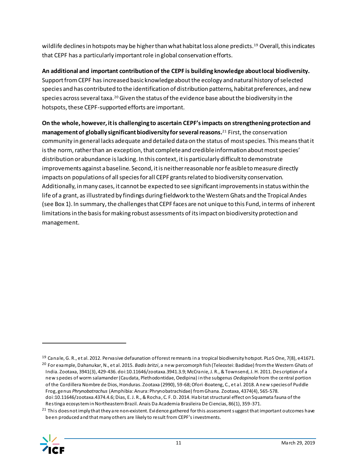wildlife declines in hotspots may be higher than what habitat loss alone predicts.<sup>19</sup> Overall, this indicates that CEPF has a particularly important role in global conservation efforts.

**An additional and important contribution of the CEPF is building knowledge about local biodiversity.**  Support from CEPF has increased basic knowledge about the ecology and natural history of selected species and has contributed to the identification of distribution patterns, habitat preferences, and new species across several taxa.<sup>20</sup> Given the status of the evidence base about the biodiversity in the hotspots, these CEPF-supported efforts are important.

**On the whole, however, it is challenging to ascertain CEPF's impacts on strengthening protection and management of globally significant biodiversity for several reasons.** <sup>21</sup> First, the conservation community in general lacks adequate and detailed data on the status of most species. This means that it is the norm, rather than an exception, that complete and credible information about most species' distribution or abundance is lacking. In this context, it is particularly difficult to demonstrate improvements against a baseline. Second, it is neither reasonable nor feasible to measure directly impacts on populations of all species for all CEPF grants related to biodiversity conservation. Additionally, in many cases, it cannot be expected to see significant improvements in status within the life of a grant, as illustrated by findings during fieldwork to the Western Ghats and the Tropical Andes (se[e Box 1\)](#page-13-0). In summary, the challenges that CEPF faces are not unique to this Fund, in terms of inherent limitations in the basis for making robust assessments of its impact on biodiversity protection and management.

<sup>&</sup>lt;sup>21</sup> This does not imply that they are non-existent. Evidence gathered for this assessment suggest that important outcomes have been produced and that many others are likely to result from CEPF's investments.



<sup>19</sup> Canale, G. R., et al. 2012. Pervasive defaunation of forest remnants in a tropical biodiversity hotspot. PLoS One, 7(8), e41671.

<sup>20</sup> For example, Dahanukar, N., et al. 2015. *Badis britzi*, a new percomorph fish (Teleostei: Badidae) from the Western Ghats of India. Zootaxa, 3941(3), 429-436. doi:10.11646/zootaxa.3941.3.9; McCranie, J. R., & Townsend, J. H. 2011. Description of a new species of worm salamander (Caudata, Plethodontidae, Oedipina) in the subgenus *Oedopinola* from the central portion of the Cordillera Nombre de Dios, Honduras. Zootaxa (2990), 59-68; Ofori-Boateng, C., et al. 2018. A new species of Puddle Frog, genus *Phrynobatrachus* (Amphibia: Anura: Phrynobatrachidae) from Ghana. Zootaxa, 4374(4), 565-578. doi:10.11646/zootaxa.4374.4.6; Dias, E. J. R., & Rocha, C. F. D. 2014. Habitat structural effect on Squamata fauna of the

Restinga ecosystem in Northeastern Brazil. Anais Da Academia Brasileira De Ciencias, 86(1), 359-371.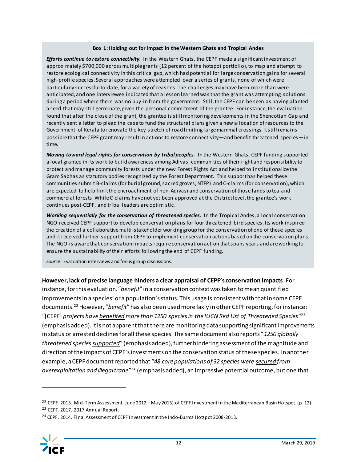#### **Box 1: Holding out for impact in the Western Ghats and Tropical Andes**

<span id="page-13-0"></span>*Efforts continue to restore connectivity.* In the Western Ghats, the CEPF made a significant investment of approximately \$700,000 across multiple grants (12 percent of the hotspot portfolio), to map and attempt to restore ecological connectivity in this critical gap, which had potential for large conservation gains for several high-profile species. Several approaches were attempted over a series of grants, none of which were particularly successful to-date, for a variety of reasons. The challenges may have been more than were anticipated, and one interviewee indicated that a lesson learned was that the grant was attempting solutions during a period where there was no buy-in from the government. Still, the CEPF can be seen as having planted a seed that may still germinate, given the personal commitment of the grantee. For instance, the evaluation found that after the close of the grant, the grantee is still monitoring developments in the Shencottah Gap and recently sent a letter to plead the case to fund the structural plans given a new allocation of resources to the Government of Kerala to renovate the key stretch of road limiting large mammal crossings. It still remains possible that the CEPF grant may result in actions to restore connectivity—and benefit threatened species—in time.

*Moving toward legal rights for conservation by tribal peoples.* In the Western Ghats, CEPF funding supported a local grantee in its work to build awareness among Adivasi communities of their right and responsibility to protect and manage community forests under the new Forest Rights Act and helped to institutionalize the Gram Sabhas as statutory bodies recognized by the Forest Department. This support has helped these communities submit B-claims (for burial ground, sacred groves, NTFP) and C-claims (for conservation), which are expected to help limit the encroachment of non-Adivasi and conservation of those lands to tea and commercial forests. While C-claims have not yet been approved at the District level , the grantee's work continues post-CEPF, and tribal leaders are optimistic.

*Working sequentially for the conservation of threatened species***.** In the Tropical Andes, a local conservation NGO received CEPF support to develop conservation plans for four threatened bird species. Its work inspired the creation of a collaborative multi-stakeholder working group for the conservation of one of these species and it received further support from CEPF to implement conservation actions based on the conservation plans. The NGO is aware that conservation impacts require conservation action that spans years and are working to ensure the sustainability of their efforts following the end of CEPF funding.

*Source:* Evaluation interviews and focus group discussions.

**However, lack of precise language hinders a clear appraisal of CEPF's conservation impacts**. For instance, for this evaluation, "*benefit*" in a conservation context was taken to mean quantified improvements in a species' or a population's status. This usage is consistent with that in some CEPF documents.<sup>22</sup> However, "*benefit*" has also been used more laxly in other CEPF reporting, for instance: "[CEPF] *projects have benefited more than 1250 species in the IUCN Red List of Threatened Species*" 23 (emphasis added). It is not apparent that there are monitoring data supporting significant improvements in status or arrested declines for all these species. The same document also reports "*1250 globally*  threatened species supported" (emphasis added), further hindering assessment of the magnitude and direction of the impacts of CEPF's investments on the conservation status of these species. In another example, a CEPF document reported that "*48 core populations of 32 species were secured from overexploitation and illegal trade*" <sup>24</sup> (emphasis added), an impressive potentialoutcome, but one that

<sup>&</sup>lt;sup>24</sup> CEPF. 2014. Final Assessment of CEPF Investment in the Indo-Burma Hotspot 2008-2013.



<sup>22</sup> CEPF. 2015. Mid-Term Assessment (June 2012 – May 2015) of CEPF Investment in the Mediterranean Basin Hotspot. (p. 12). <sup>23</sup> CEPF. 2017. 2017 Annual Report.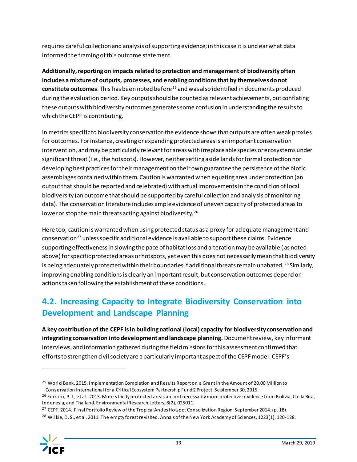requires careful collection and analysis of supporting evidence; in this case it is unclear what data informed the framing of this outcome statement.

**Additionally,reporting on impacts related to protection and management of biodiversity often includes a mixture of outputs, processes, and enabling conditions that by themselves do not constitute outcomes**. This has been noted before<sup>25</sup> and was also identified in documents produced during the evaluation period. Key outputs should be counted as relevant achievements, but conflating these outputs with biodiversity outcomes generates some confusion in understanding the results to which the CEPF is contributing.

In metrics specific to biodiversity conservation the evidence shows that outputs are often weak proxies for outcomes. For instance, creating or expanding protected areas is an important conservation intervention, and may be particularly relevant for areas with irreplaceable species or ecosystems under significant threat (i.e., the hotspots). However, neither setting aside lands for formal protection nor developing best practices for their management on their own guarantee the persistence of the biotic assemblages contained within them. Caution is warranted when equating area under protection (an output that should be reported and celebrated) with actual improvements in the condition of local biodiversity (an outcome that should be supported by careful collection and analysis of monitoring data). The conservation literature includes ample evidence of uneven capacity of protected areas to lower or stop the main threats acting against biodiversity.<sup>26</sup>

Here too, caution is warranted when using protected status as a proxy for adequate management and conservation<sup>27</sup> unless specific additional evidence is available to support these claims. Evidence supporting effectiveness in slowing the pace of habitat loss and alteration may be available ( as noted above) for specific protected areas or hotspots, yet even this does not necessarily mean that biodiversity is being adequately protected within their boundaries if additional threats remain unabated. <sup>28</sup> Similarly, improving enabling conditions is clearly an important result, but conservation outcomes depend on actions taken following the establishment of these conditions.

## <span id="page-14-0"></span>**4.2. Increasing Capacity to Integrate Biodiversity Conservation into Development and Landscape Planning**

**A key contribution of the CEPF is in building national (local) capacity for biodiversity conservation and integrating conservation into development and landscape planning.** Document review, key informant interviews, and information gathered during the field missions for this assessment confirmed that efforts to strengthen civil society are a particularly important aspect of the CEPF model. CEPF's

<sup>&</sup>lt;sup>25</sup> World Bank. 2015. Implementation Completion and Results Report on a Grant in the Amount of 20.00 Million to Conservation International for a Critical Ecosystem Partnership Fund 2 Project. September 30, 2015.

<sup>&</sup>lt;sup>26</sup> Ferraro, P. J., et al. 2013. More strictly protected areas are not necessarily more protective: evidence from Bolivia, Costa Rica, Indonesia, and Thailand. Environmental Research Letters, 8(2), 025011.

<sup>&</sup>lt;sup>27</sup> CEPF. 2014. Final Portfolio Review of the Tropical Andes Hotspot Consolidation Region. September 2014. (p. 18).

<sup>&</sup>lt;sup>28</sup> Wilkie, D. S., et al. 2011. The empty forest revisited. Annals of the New York Academy of Sciences, 1223(1), 120-128.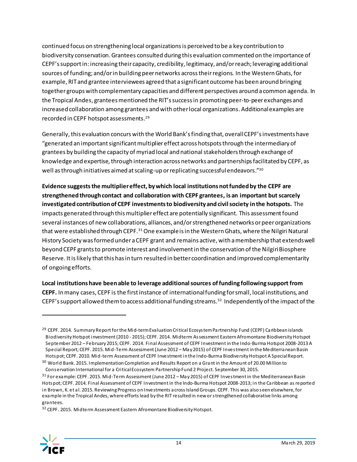continued focus on strengthening local organizations is perceived to be a key contribution to biodiversity conservation. Grantees consulted during this evaluation commented on the importance of CEPF's support in:increasing their capacity, credibility, legitimacy, and/or reach; leveraging additional sources of funding; and/or in building peer networks across their regions. In the Western Ghats, for example, RIT and grantee interviewees agreed that a significant outcome has been around bringing together groups with complementary capacities and different perspectives around a common agenda. In the Tropical Andes, grantees mentioned the RIT's success in promoting peer-to-peer exchanges and increased collaboration among grantees and with other local organizations. Additional examples are recorded in CEPF hotspot assessments. 29

Generally, this evaluation concurs with the World Bank'sfinding that, overall CEPF's investments have "generated an important significant multiplier effect across hotspots through the intermediary of grantees by building the capacity of myriad local and national stakeholders through exchange of knowledge and expertise, through interaction across networks and partnerships facilitated by CEPF, as well as through initiatives aimed at scaling-up or replicating successful endeavors."30

**Evidence suggests the multiplier effect, by which local institutions not funded by the CEPF are strengthened through contact and collaboration with CEPF grantees, is an important but scarcely investigated contribution of CEPF investments to biodiversity and civil society in the hotspots.** The impacts generated through this multiplier effect are potentially significant. This assessment found several instances of new collaborations, alliances, and/or strengthened networks or peer organizations that were established through CEPF.<sup>31</sup> One example is in the Western Ghats, where the Nilgiri Natural History Society was formed under a CEPF grant and remains active, with a membership that extends well beyond CEPF grants to promote interest and involvement in the conservation of the Nilgiri Biosphere Reserve. It is likely that this has in turn resulted in better coordination and improved complementarity of ongoing efforts.

**Local institutions have been able to leverage additional sources of funding following support from CEPF.** In many cases, CEPF is the first instance of international funding for small, local institutions, and CEPF's support allowed them to access additional funding streams.<sup>32</sup> Independently of the impact of the

<sup>32</sup> CEPF. 2015. Midterm Assessment Eastern Afromontane Biodiversity Hotspot.



<sup>&</sup>lt;sup>29</sup> CEPF. 2014. Summary Report for the Mid-term Evaluation Critical Ecosystem Partnership Fund (CEPF) Caribbean islands Biodiversity Hotspot investment (2010 - 2015); CEPF. 2014. Midterm Assessment Eastern Afromontane Biodiversity Hotspot September 2012 – February 2015; CEPF. 2014. Final Assessment of CEPF Investment in the Indo-Burma Hotspot 2008-2013 A Special Report; CEPF. 2015. Mid-Term Assessment (June 2012 – May 2015) of CEPF Investment in the Mediterranean Basin Hotspot; CEPF. 2010. Mid-term Assessment of CEPF Investment in the Indo-Burma Biodiversity Hotspot A Special Report.

<sup>&</sup>lt;sup>30</sup> World Bank. 2015. Implementation Completion and Results Report on a Grant in the Amount of 20.00 Million to Conservation International for a Critical Ecosystem Partnership Fund 2 Project. September 30, 2015.

<sup>31</sup> For example: CEPF. 2015. Mid-Term Assessment (June 2012 – May 2015) of CEPF Investment in the Mediterranean Basin Hotspot; CEPF. 2014. Final Assessment of CEPF Investment in the Indo-Burma Hotspot 2008-2013; in the Caribbean as reported in Brown, K. et al. 2015. Reviewing Progress on Investments across Island Groups. CEPF. This was also seen elsewhere, for example in the Tropical Andes, where efforts lead by the RIT resulted in new or strengthened collaborative links among grantees.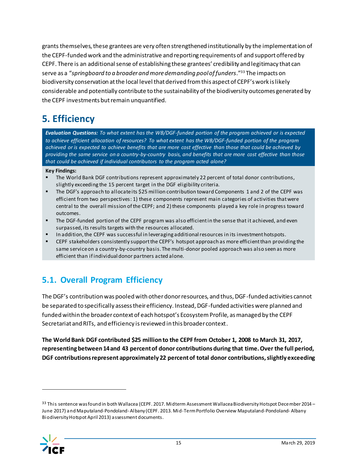grants themselves, these grantees are very often strengthened institutionally by the implementation of the CEPF-funded work and the administrative and reporting requirements of and support offered by CEPF. There is an additional sense of establishing these grantees' credibility and legitimacy that can serve as a "*springboard to a broader and more demanding pool of funders*." <sup>33</sup> The impacts on biodiversity conservation at the local level that derived from this aspect of CEPF's work is likely considerable and potentially contribute to the sustainability of the biodiversity outcomes generated by the CEPF investments but remain unquantified.

## <span id="page-16-0"></span>**5. Efficiency**

*Evaluation Questions: To what extent has the WB/DGF-funded portion of the program achieved or is expected to achieve efficient allocation of resources? To what extent has the WB/DGF-funded portion of the program achieved or is expected to achieve benefits that are more cost effective than those that could be achieved by providing the same service on a country-by-country basis, and benefits that are more cost effective than those that could be achieved if individual contributors to the program acted alone?*

**Key Findings:**

- The World Bank DGF contributions represent approximately 22 percent of total donor contributions, slightly exceeding the 15 percent target in the DGF eligibility criteria.
- The DGF's approach to allocate its \$25 million contribution toward Components 1 and 2 of the CEPF was efficient from two perspectives: 1) these components represent main categories of activities that were central to the overall mission of the CEPF; and 2) these components played a key role in progress toward outcomes.
- The DGF-funded portion of the CEPF program was also efficient in the sense that it achieved, and even surpassed, its results targets with the resources allocated.
- In addition, the CEPF was successful in leveraging additional resources in its investment hotspots.
- CEPF stakeholders consistently support the CEPF's hotspot approach as more efficient than providing the same service on a country-by-country basis. The multi-donor pooled approach was also seen as more efficient than if individual donor partners acted alone.

## <span id="page-16-1"></span>**5.1. Overall Program Efficiency**

The DGF's contribution was pooled with other donor resources, and thus, DGF-funded activities cannot be separated to specifically assess their efficiency. Instead, DGF-funded activities were planned and funded within the broader context of each hotspot's Ecosystem Profile, as managed by the CEPF Secretariat and RITs, and efficiency is reviewed in this broader context.

**The World Bank DGF contributed \$25 million to the CEPF from October 1, 2008 to March 31, 2017, representing between 14 and 43 percent of donor contributions during that time. Over the full period, DGF contributions represent approximately 22 percent of total donor contributions, slightly exceeding** 

<sup>33</sup> This sentence was found in both Wallacea (CEPF. 2017. Midterm Assessment Wallacea Biodiversity Hotspot December 2014 -June 2017) and Maputaland-Pondoland-Albany (CEPF. 2013. Mid-Term Portfolio Overview Maputaland-Pondoland- Albany Biodiversity Hotspot April 2013) assessment documents.

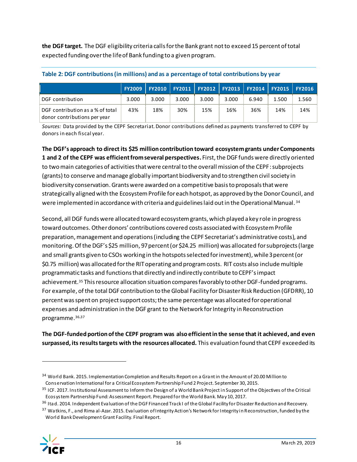**the DGF target.** The DGF eligibility criteria calls for the Bank grant not to exceed 15 percent of total expected funding over the life of Bank funding to a given program.

|                                                                  |       |       |       |       | FY2009   FY2010   FY2011   FY2012   FY2013   FY2014   FY2015 |       |       | <b>FY2016</b> |
|------------------------------------------------------------------|-------|-------|-------|-------|--------------------------------------------------------------|-------|-------|---------------|
| DGF contribution                                                 | 3.000 | 3.000 | 3.000 | 3.000 | 3.000                                                        | 6.940 | 1.500 | 1.560         |
| DGF contribution as a % of total<br>donor contributions per year | 43%   | 18%   | 30%   | 15%   | 16%                                                          | 36%   | 14%   | 14%           |

#### **Table 2: DGF contributions(in millions) and as a percentage of total contributions by year**

*Sources:* Data provided by the CEPF Secretariat. Donor contributions defined as payments transferred to CEPF by donors in each fiscal year.

**The DGF's approach to direct its \$25 million contribution toward ecosystem grants under Components 1 and 2 of the CEPF was efficient from several perspectives.** First, the DGF funds were directly oriented to two main categories of activities that were central to the overall mission of the CEPF: subprojects (grants) to conserve and manage globally important biodiversity and to strengthen civil society in biodiversity conservation. Grants were awarded on a competitive basis to proposals that were strategically aligned with the Ecosystem Profile for each hotspot, as approved by the Donor Council, and were implemented in accordance with criteria and guidelines laid out in the Operational Manual. <sup>34</sup>

Second, all DGF funds were allocated toward ecosystem grants, which played a key role in progress toward outcomes. Other donors' contributions covered costs associated with Ecosystem Profile preparation, management and operations (including the CEPF Secretariat's administrative costs), and monitoring.Of the DGF's \$25 million, 97 percent (or \$24.25 million) was allocated for subprojects (large and small grants given to CSOs working in the hotspots selected for investment), while 3 percent (or \$0.75 million) was allocated for the RIT operating and program costs. RIT costs also include multiple programmatic tasks and functions that directly and indirectly contribute to CEPF's impact achievement.<sup>35</sup> This resource allocation situation compares favorably to other DGF-funded programs. For example, of the total DGF contribution to the Global Facility for Disaster Risk Reduction (GFDRR), 10 percent was spent on project support costs; the same percentage was allocated for operational expenses and administration in the DGF grant to the Network for Integrity in Reconstruction programme.36,37

**The DGF-funded portion of the CEPF program was also efficient in the sense that it achieved, and even surpassed, its results targets with the resources allocated.** This evaluation found that CEPF exceeded its

<sup>37</sup> Watkins, F., and Rima al-Azar. 2015. Evaluation of Integrity Action's Network for Integrity in Reconstruction, funded by the World Bank Development Grant Facility. Final Report.



<sup>34</sup> World Bank. 2015. Implementation Completion and Results Report on a Grant in the Amount of 20.00 Million to Conservation International for a Critical Ecosystem Partnership Fund 2 Project. September 30, 2015.

<sup>&</sup>lt;sup>35</sup> ICF. 2017. Institutional Assessment to Inform the Design of a World Bank Project in Support of the Objectives of the Critical Ecosystem Partnership Fund: Assessment Report. Prepared for the World Bank. May 10, 2017.

<sup>&</sup>lt;sup>36</sup> Itad. 2014. Independent Evaluation of the DGF Financed Track I of the Global Facility for Disaster Reduction and Recovery.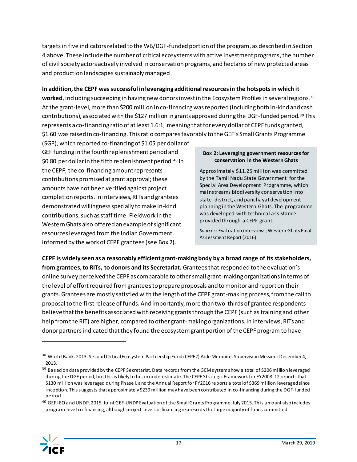targets in five indicators related to the WB/DGF-funded portion of the program, as described in Section [4](#page-8-0) above. These include the number of critical ecosystems with active investment programs,the number of civil society actors actively involved in conservation programs, and hectares of new protected areas and production landscapes sustainably managed.

#### **In addition, the CEPF was successful in leveraging additional resources in the hotspots in which it**

**worked**, including succeeding in having new donors invest in the Ecosystem Profiles in several regions.<sup>38</sup> At the grant-level, more than \$200 million in co-financing was reported (including both in-kind and cash contributions), associated with the \$127 million in grants approved during the DGF-funded period.<sup>39</sup> This represents a co-financing ratio of at least 1.6:1, meaning that for every dollar of CEPF funds granted, \$1.60 was raised in co-financing. This ratio compares favorably to the GEF's Small Grants Programme

(SGP), which reported co-financing of \$1.05 per dollar of GEF funding in the fourth replenishment period and \$0.80 per dollar in the fifth replenishment period.<sup>40</sup> In the CEPF, the co-financing amount represents contributions promised at grant approval; these amounts have not been verified against project completion reports. In interviews, RITs and grantees demonstrated willingness specially to make in-kind contributions, such as staff time. Fieldwork in the Western Ghats also offered an example of significant resources leveraged from the Indian Government, informed by the work of CEPF grantees (se[e Box 2\)](#page-18-0).

#### <span id="page-18-0"></span>**Box 2: Leveraging government resources for conservation in the Western Ghats**

Approximately \$11.25 million was committed by the Tamil Nadu State Government for the Special Area Development Programme, which mainstreams biodiversity conservation into state, district, and panchayat development planning in the Western Ghats. The programme was developed with technical assistance provided through a CEPF grant.

*Sources:* Evaluation interviews; Western Ghats Final Assessment Report (2016).

**CEPF is widely seen as a reasonably efficient grant-making body by a broad range of its stakeholders, from grantees, to RITs, to donors and its Secretariat.** Grantees that responded to the evaluation's online survey perceived the CEPF as comparable to other small grant-making organizations in terms of the level of effort required from grantees to prepare proposals and to monitor and report on their grants. Grantees are mostly satisfied with the length of the CEPF grant-making process, from the call to proposal to the first release of funds. And importantly, more than two-thirds of grantee respondents believe that the benefits associated with receiving grants through the CEPF (such as training and other help from the RIT) are higher, compared to other grant-making organizations. In interviews, RITs and donor partners indicated that they found the ecosystem grant portion of the CEPF program to have

<sup>40</sup> GEF IEO and UNDP. 2015. Joint GEF-UNDP Evaluation of the Small Grants Programme. July 2015. This amount also includes program-level co-financing, although project-level co-financing represents the large majority of funds committed.



<sup>38</sup> World Bank. 2013. Second Critical Ecosystem Partnership Fund (CEPF2) Aide Memoire. Supervision Mission: December 4, 2013.

<sup>39</sup> Based on data provided by the CEPF Secretariat. Data records from the GEM system show a total of \$206 million leveraged during the DGF period, but this is likely to be an underestimate. The CEPF Strategic Framework for FY2008-12 reports that \$130 million was leveraged during Phase I, and the Annual Report for FY2016 reports a total of \$369 million leveraged since inception. This suggests that approximately \$239 million may have been contributed in co -financing during the DGF-funded period.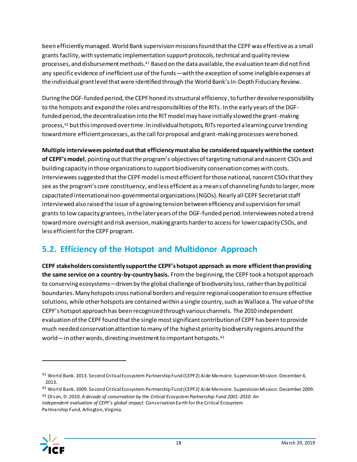been efficiently managed. World Bank supervision missions found that the CEPF was effective as a small grants facility, with systematic implementation support protocols, technical and quality review processes, and disbursement methods.<sup>41</sup> Based on the data available, the evaluation team did not find any specific evidence of inefficient use of the funds—with the exception of some ineligible expenses at the individual grant level that were identified through the World Bank's In-Depth Fiduciary Review.

During the DGF-funded period, the CEPF honed its structural efficiency, to further devolve responsibility to the hotspots and expand the roles and responsibilities of the RITs. In the early years of the DGFfunded period, the decentralization into the RIT model may have initially slowed the grant-making process,<sup>42</sup> but this improved over time. In individual hotspots, RITs reported a learning curve trending toward more efficient processes, as the call for proposal and grant-making processes were honed.

**Multiple interviewees pointed out that efficiency must also be considered squarely within the context of CEPF's model**, pointing out that the program's objectives of targeting national and nascent CSOs and building capacity in those organizations to support biodiversity conservation comes with costs. Interviewees suggested that the CEPF model is most efficient for those national, nascent CSOs that they see as the program's core constituency, and less efficient as a means of channeling funds to larger, more capacitated international non-governmental organizations (NGOs). Nearly all CEPF Secretariat staff interviewed also raised the issue of a growing tension between efficiency and supervision for small grants to low capacity grantees, in the later years of the DGF-funded period. Interviewees noted a trend toward more oversight and risk aversion, making grants harder to access for lower capacity CSOs, and less efficient for the CEPF program.

## <span id="page-19-0"></span>**5.2. Efficiency of the Hotspot and Multidonor Approach**

**CEPF stakeholders consistently support the CEPF's hotspot approach as more efficientthan providing the same service on a country-by-country basis.** From the beginning, the CEPF took a hotspot approach to conserving ecosystems—driven by the global challenge of biodiversity loss, rather than by political boundaries. Many hotspots cross national borders and require regional cooperation to ensure effective solutions, while other hotspots are contained within a single country, such as Wallacea. The value of the CEPF's hotspot approach has been recognized through various channels. The 2010 independent evaluation of the CEPF found that the single most significant contribution of CEPF has been to provide much needed conservation attention to many of the highest priority biodiversity regions around the world—in other words, directing investment to important hotspots. <sup>43</sup>

*independent evaluation of CEPF's global impact.* Conservation Earth for the Critical Ecosystem Partnership Fund, Arlington, Virginia.



<sup>41</sup> World Bank. 2013. Second Critical Ecosystem Partnership Fund (CEPF2) Aide Memoire. Supervision Mission: December 4, 2013.

<sup>42</sup> World Bank. 2009. Second Critical Ecosystem Partnership Fund (CEPF2) Aide Memoire. Supervision Mission: December 2009. <sup>43</sup> Olson, D. 2010. *A decade of conservation by the Critical Ecosystem Partnership Fund 2001-2010: An*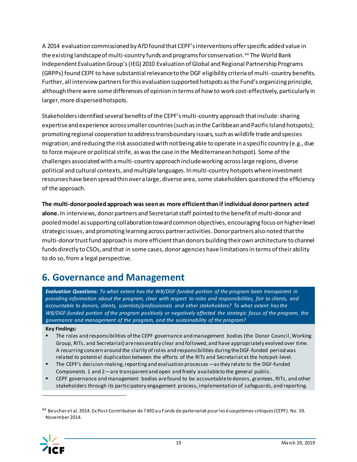A 2014 evaluation commissioned by AfD found that CEPF's interventions offer specific added value in the existing landscape of multi-country funds and programs for conservation.<sup>44</sup> The World Bank Independent Evaluation Group's (IEG) 2010 Evaluation of Global and Regional Partnership Programs (GRPPs) found CEPF to have substantial relevance to the DGF eligibility criteria of multi-country benefits. Further, all interview partners for this evaluation supported hotspots as the Fund's organizing principle, although there were some differences of opinion in terms of how to work cost-effectively, particularly in larger, more dispersed hotspots.

Stakeholders identified several benefits of the CEPF's multi-country approach that include: sharing expertise and experience across smaller countries (such as in the Caribbean and Pacific Island hotspots); promoting regional cooperation to address transboundary issues, such as wildlife trade and species migration; and reducing the risk associated with not being able to operate in a specific country (e.g., due to force majeure or political strife, as was the case in the Mediterranean hotspot). Some of the challenges associated with a multi-country approach include working acrosslarge regions, diverse political and cultural contexts, and multiple languages. In multi-country hotspots where investment resources have been spread thin over a large, diverse area, some stakeholders questioned the efficiency of the approach.

**The multi-donor pooled approach was seen as more efficientthan if individual donor partners acted alone.** In interviews, donor partners and Secretariat staff pointed to the benefit of multi-donor and pooled model as supporting collaboration toward common objectives, encouraging focus on higher-level strategic issues, and promoting learning across partner activities. Donor partners also noted that the multi-donor trust fund approach is more efficient than donors building their own architecture to channel funds directly to CSOs, and that in some cases, donor agencies have limitations in terms of their ability to do so, from a legal perspective.

## <span id="page-20-0"></span>**6. Governance and Management**

*Evaluation Questions: To what extent has the WB/DGF-funded portion of the program been transparent in providing information about the program, clear with respect to roles and responsibilities, fair to clients, and accountable to donors, clients, scientists/professionals and other stakeholders? To what extent has the WB/DGF-funded portion of the program positively or negatively affected the strategic focus of the program, the governance and management of the program, and the sustainability of the program?*

#### **Key Findings:**

- The roles and responsibilities of the CEPF governance and management bodies (the Donor Council, Working Group, RITs, and Secretariat) are reasonably clear and followed, and have appropriately evolved over time. A recurring concern around the clarity of rol es and responsibilities during the DGF-funded period was related to potential duplication between the efforts of the RITs and Secretariat at the hotspot-level.
- The CEPF's decision-making, reporting and evaluation processes —as they relate to the DGF-funded Components 1 and 2—are transparent and open and freely available to the general public.
- **EPF** governance and management bodies are found to be accountable to donors, grantees, RITs, and other stakeholders through its participatory engagement process, implementation of safeguards, and reporting.

<sup>44</sup> Beucher et al. 2014. Ex Post Contribution de l'AfD au Fonds de partenariat pour les écosystèmes critiques (CEPF). No. 59. November 2014.

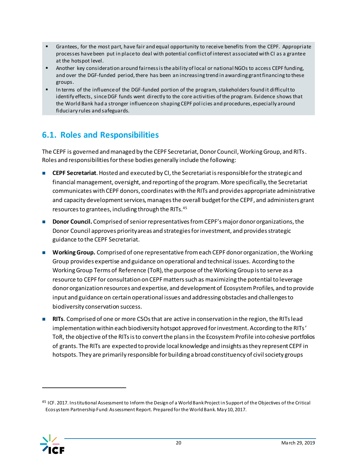- Grantees, for the most part, have fair and equal opportunity to receive benefits from the CEPF. Appropriate processes have been put in place to deal with potential conflict of interest associated with CI as a grantee at the hotspot level.
- Another key consideration around fairness is the ability of local or national NGOs to access CEPF funding, and over the DGF-funded period, there has been an increasing trend in awarding grant financing to these groups.
- In terms of the influence of the DGF-funded portion of the program, stakeholders found it difficult to identify effects, since DGF funds went directly to the core activities of the program. Evidence shows that the World Bank had a stronger influence on shaping CEPF pol icies and procedures, especially around fiduciary rules and safeguards.

### <span id="page-21-0"></span>**6.1. Roles and Responsibilities**

The CEPF is governed and managed by the CEPF Secretariat, Donor Council, Working Group, and RITs. Roles and responsibilities for these bodies generally include the following:

- **CEPF Secretariat**. Hosted and executed by CI, the Secretariat is responsible for the strategic and financial management, oversight, and reporting of the program. More specifically, the Secretariat communicates with CEPF donors, coordinateswith the RITs and provides appropriate administrative and capacity development services, manages the overall budget for the CEPF, and administers grant resources to grantees, including through the RITs.<sup>45</sup>
- **Donor Council.** Comprised of senior representatives from CEPF's major donor organizations, the Donor Council approves priority areas and strategies for investment, and provides strategic guidance to the CEPF Secretariat.
- **Working Group.** Comprised of one representative from each CEPF donor organization, the Working Group provides expertise and guidance on operational and technical issues. According to the Working Group Terms of Reference (ToR), the purpose of the Working Group is to serve as a resource to CEPF for consultation on CEPF matters such as maximizing the potential to leverage donor organization resources and expertise, and development of Ecosystem Profiles, and to provide input and guidance on certain operational issues and addressing obstacles and challenges to biodiversity conservation success.
- **RITs**. Comprised of one or more CSOs that are active in conservation in the region, the RITs lead implementation within each biodiversity hotspot approved for investment. According to the RITs' ToR, the objective of the RITs is to convert the plans in the Ecosystem Profile into cohesive portfolios of grants. The RITs are expected to provide local knowledge and insights as they represent CEPF in hotspots. They are primarily responsible for building a broad constituency of civil society groups

<sup>&</sup>lt;sup>45</sup> ICF. 2017. Institutional Assessment to Inform the Design of a World Bank Project in Support of the Objectives of the Critical Ecosystem Partnership Fund: Assessment Report. Prepared for the World Bank. May 10, 2017.

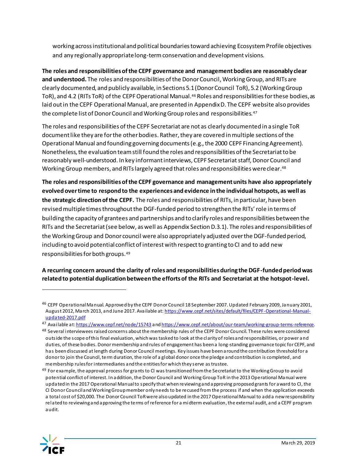working across institutional and political boundaries toward achieving Ecosystem Profile objectives and any regionally appropriate long-term conservation and development visions.

**The roles and responsibilities of the CEPF governance and management bodies are reasonably clear and understood.** The roles and responsibilities of the Donor Council, Working Group, and RITs are clearly documented, and publicly available, in Sections 5.1 (Donor Council ToR), 5.2 (Working Group ToR), and 4.2 (RITs ToR) of the CEPF Operational Manual.<sup>46</sup> Roles and responsibilities for these bodies, as laid out in the CEPF Operational Manual, are presented i[n Appendix D.](#page-58-0) The CEPF website also provides the complete list of Donor Council and Working Group roles and responsibilities.<sup>47</sup>

The roles and responsibilities of the CEPF Secretariat are not as clearly documented in a single ToR document like they are for the other bodies. Rather, they are covered in multiple sections of the Operational Manual and founding governing documents (e.g., the 2000 CEPF Financing Agreement). Nonetheless, the evaluation team still found the roles and responsibilities of the Secretariat to be reasonably well-understood. In key informant interviews, CEPF Secretariat staff, Donor Council and Working Group members, and RITs largely agreed that roles and responsibilities were clear. 48

**The roles and responsibilities of the CEPF governance and management units have also appropriately evolved over time to respond to the experiences and evidence in the individual hotspots, as well as the strategic direction of the CEPF.** The roles and responsibilities of RITs, in particular, have been revised multiple times throughout the DGF-funded period to strengthen the RITs' role in terms of building the capacity of grantees and partnerships and to clarify roles and responsibilities between the RITs and the Secretariat (see below, as well as Appendix Section D.3.1). The roles and responsibilities of the Working Group and Donor council were also appropriately adjusted over the DGF-funded period, including to avoid potential conflict of interest with respect to granting to CI and to add new responsibilities for both groups.<sup>49</sup>

**A recurring concern around the clarity of roles and responsibilities during the DGF-funded periodwas related to potential duplication between the efforts of the RITs and Secretariat at the hotspot-level.** 

 $49$  For example, the approval process for grants to CI was transitioned from the Secretariat to the Working Group to avoid potential conflict of interest. In addition, the Donor Council and Working Group ToR in the 2013 Operational Manual were updated in the 2017 Operational Manual to specify that when reviewing and approving proposed grants for award to CI, the CI Donor Council and Working Group member only needs to be recused from the process if and when the application exceeds a total cost of \$20,000. The Donor Council ToR were also updated in the 2017 Operational Manual to add a new responsibility related to reviewing and approving the terms of reference for a midterm evaluation, the external audit, and a CEPF program audit.



<sup>46</sup> CEPF Operational Manual. Approved by the CEPF Donor Council 18 September 2007. Updated February 2009, January 2001, August 2012, March 2013, and June 2017. Available a[t: https://www.cepf.net/sites/default/files/CEPF-Operational-Manual](https://www.cepf.net/sites/default/files/CEPF-Operational-Manual-updated-2017.pdf)[updated-2017.pdf](https://www.cepf.net/sites/default/files/CEPF-Operational-Manual-updated-2017.pdf)

<sup>&</sup>lt;sup>47</sup> Available a[t: https://www.cepf.net/node/15743](https://www.cepf.net/node/15743) an[d https://www.cepf.net/about/our-team/working-group-terms-reference.](https://www.cepf.net/about/our-team/working-group-terms-reference)

<sup>&</sup>lt;sup>48</sup> Several interviewees raised concerns about the membership rules of the CEPF Donor Council. These rules were considered outside the scope of this final evaluation, which was tasked to look at the clarity of roles and responsibilities, or power and duties, of these bodies. Donor membership and rules of engagement has been a long-standing governance topic for CEPF, and has been discussed at length during Donor Council meetings. Key issues have been around the contribution threshold for a donor to join the Council, term duration, the role of a global donor once the pledge and contribution is completed, and membership rules for intermediaries and the entities for which they serve as trustee.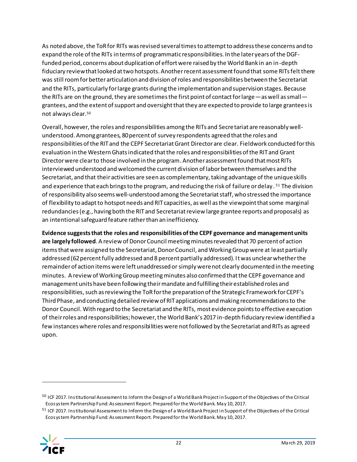As noted above, the ToR for RITs was revised several times to attempt to address these concerns and to expand the role of the RITs in terms of programmatic responsibilities. In the later years of the DGFfunded period, concerns about duplication of effort were raised by the World Bank in an in-depth fiduciary review that looked at two hotspots. Another recent assessment found that some RITs felt there was still room for better articulation and division of roles and responsibilities between the Secretariat and the RITs, particularly for large grants during the implementation and supervision stages. Because the RITs are on the ground, they are sometimes the first point of contact for large—as well as small grantees, and the extent of support and oversight that they are expected to provide to large grantees is not always clear.<sup>50</sup>

Overall, however, the roles and responsibilities among the RITs and Secretariat are reasonably wellunderstood. Among grantees, 80 percent of survey respondents agreed that the roles and responsibilities of the RIT and the CEPF Secretariat Grant Director are clear. Fieldwork conducted for this evaluation in the Western Ghats indicated that the roles and responsibilities of the RIT and Grant Director were clear to those involved in the program. Another assessment found that most RITs interviewed understood and welcomed the current division of labor between themselves and the Secretariat, and that their activities are seen as complementary, taking advantage of the unique skills and experience that each brings to the program, and reducing the risk of failure or delay. <sup>51</sup> The division of responsibility also seems well-understood among the Secretariat staff, who stressed the importance of flexibility to adapt to hotspot needs and RIT capacities, as well as the viewpoint that some marginal redundancies (e.g., having both the RIT and Secretariat review large grantee reports and proposals) as an intentional safeguard feature rather than an inefficiency.

**Evidence suggests that the roles and responsibilities of the CEPF governance and management units are largely followed**. A review of Donor Council meeting minutes revealed that 70 percent of action items that were assigned to the Secretariat, Donor Council, and Working Group were at least partially addressed (62 percent fully addressed and 8 percent partially addressed). It was unclear whether the remainder of action items were left unaddressed or simply were not clearly documented in the meeting minutes. A review of Working Group meeting minutes also confirmed that the CEPF governance and management units have been following their mandate and fulfilling their established roles and responsibilities, such as reviewing the ToR for the preparation of the Strategic Framework for CEPF's Third Phase, and conducting detailed review of RIT applications and making recommendations to the Donor Council. With regard to the Secretariat and the RITs, most evidence points to effective execution of their roles and responsibilities; however, the World Bank's 2017 in-depth fiduciary review identified a few instances where roles and responsibilities were not followed by the Secretariat and RITs as agreed upon.

<sup>51</sup> ICF 2017. Institutional Assessment to Inform the Design of a World Bank Project in Support of the Objectives of the Critical Ecosystem Partnership Fund: Assessment Report. Prepared for the World Bank. May 10, 2017.



<sup>&</sup>lt;sup>50</sup> ICF 2017. Institutional Assessment to Inform the Design of a World Bank Project in Support of the Objectives of the Critical Ecosystem Partnership Fund: Assessment Report. Prepared for the World Bank. May 10, 2017.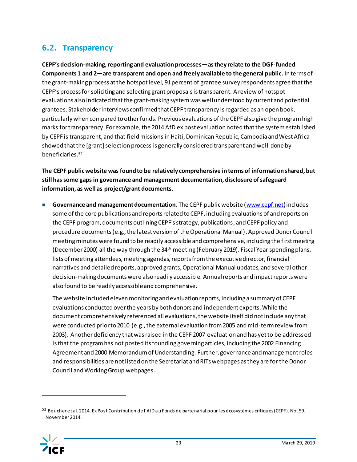### <span id="page-24-0"></span>**6.2. Transparency**

**CEPF's decision-making, reporting and evaluation processes—as they relate to the DGF-funded Components 1 and 2—are transparent and open and freely available to the general public.** In terms of the grant-making process at the hotspot level, 91percent of grantee survey respondents agree that the CEPF's process for soliciting and selecting grant proposals is transparent. A review of hotspot evaluations also indicated that the grant-making system was well understood by current and potential grantees. Stakeholder interviews confirmed that CEPF transparency is regarded as an open book, particularly when compared to other funds. Previous evaluations of the CEPF also give the program high marks for transparency. For example, the 2014 AfD ex post evaluation noted that the system established by CEPF is transparent, and that field missions in Haiti, Dominican Republic, Cambodia and West Africa showed that the [grant] selection process is generally considered transparent and well-done by beneficiaries. 52

**The CEPF public website was found to be relatively comprehensive in terms of information shared, but still has some gaps in governance and management documentation, disclosure of safeguard information, as well as project/grant documents**.

■ **Governance and management documentation**. The CEPF public website [\(www.cepf.net](http://www.cepf.net/)) includes some of the core publications and reports related to CEPF, including evaluations of and reports on the CEPF program, documents outlining CEPF's strategy, publications, and CEPF policy and procedure documents(e.g., the latest version of the Operational Manual). Approved Donor Council meeting minutes were found to be readily accessible and comprehensive, including the first meeting (December 2000) all the way through the 34<sup>th</sup> meeting (February 2019). Fiscal Year spending plans, lists of meeting attendees, meeting agendas, reports from the executive director, financial narratives and detailed reports, approved grants, Operational Manual updates, and several other decision-making documents were also readily accessible. Annual reports and impact reports were also found to be readily accessible and comprehensive.

The website included eleven monitoring and evaluation reports, including a summary of CEPF evaluations conducted over the years by both donors and independent experts. While the document comprehensively referenced all evaluations, the website itself did not include any that were conducted prior to 2010 (e.g., the external evaluation from 2005 and mid-term review from 2003). Anotherdeficiency that was raised in the CEPF 2007 evaluation and has yet to be addressed is that the program has not posted its founding governing articles, including the 2002 Financing Agreement and 2000 Memorandum of Understanding. Further, governance and management roles and responsibilities are not listed on the Secretariat and RITs webpages as they are for the Donor Council and Working Group webpages.

<sup>52</sup> Beucher et al. 2014. Ex Post Contribution de l'AfD au Fonds de partenariat pour les écosystèmes critiques (CEPF). No. 59. November 2014.

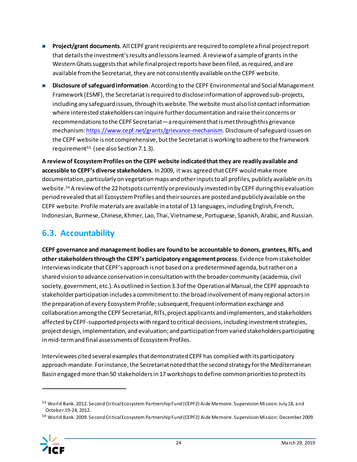- **Project/grant documents**. All CEPF grant recipients are required to complete a final project report that detailsthe investment's results and lessons learned. A review of a sample of grants in the Western Ghats suggests that while final project reports have been filed, as required, and are available from the Secretariat, they are not consistently available on the CEPF website.
- **Disclosure of safeguard information**. According to the CEPF Environmental and Social Management Framework (ESMF), the Secretariat is required to disclose information of approved sub-projects, including any safeguard issues, through its website. The website must also list contact information where interested stakeholders can inquire further documentation and raise their concerns or recommendations to the CEPF Secretariat—a requirement that is met through this grievance mechanism[: https://www.cepf.net/grants/grievance-mechanism](https://www.cepf.net/grants/grievance-mechanism). Disclosure of safeguard issues on the CEPF website is not comprehensive, but the Secretariat is working to adhere to the framework requirement<sup>53</sup> (see also Sectio[n 7.1.3](#page-36-0)).

**A review of Ecosystem Profiles on the CEPF website indicated that they are readily available and accessible to CEPF's diverse stakeholders**. In 2009, it was agreed that CEPF would make more documentation, particularly on vegetation maps and other inputs to all profiles, publicly available on its website.<sup>54</sup> A review of the 22 hotspots currently or previously invested in by CEPF during this evaluation period revealed that all Ecosystem Profiles and their sources are posted and publicly available on the CEPF website. Profile materials are available in a total of 13 languages, including English, French, Indonesian, Burmese, Chinese, Khmer, Lao, Thai, Vietnamese, Portuguese, Spanish, Arabic, and Russian.

## <span id="page-25-0"></span>**6.3. Accountability**

**CEPF governance and management bodies are found to be accountable to donors, grantees, RITs, and other stakeholders through the CEPF's participatory engagement process**. Evidence from stakeholder interviews indicate that CEPF's approach is not based on a predetermined agenda, but rather on a shared vision to advance conservation in consultation with the broader community (academia, civil society, government, etc.). As outlined in Section 3.3 of the Operational Manual, the CEPF approach to stakeholder participation includes a commitment to: the broad involvement of many regional actors in the preparation of every Ecosystem Profile; subsequent, frequent information exchange and collaboration among the CEPF Secretariat, RITs, project applicants and implementers, and stakeholders affected by CEPF-supported projects with regard to critical decisions, including investment strategies, project design, implementation, and evaluation; and participation from varied stakeholders participating in mid-term and final assessments of Ecosystem Profiles.

Interviewees cited several examples that demonstrated CEPF has complied with its participatory approach mandate. For instance, the Secretariat noted that the second strategy for the Mediterranean Basin engaged more than 50 stakeholders in 17 workshopsto define common priorities to protect its

<sup>54</sup> World Bank. 2009. Second Critical Ecosystem Partnership Fund (CEPF2) Aide Memoire. Supervision Mission: December 2009.



<sup>53</sup> World Bank. 2012. Second Critical Ecosystem Partnership Fund (CEPF2) Aide Memoire. Supervision Mission: July 18, and October 19-24, 2012.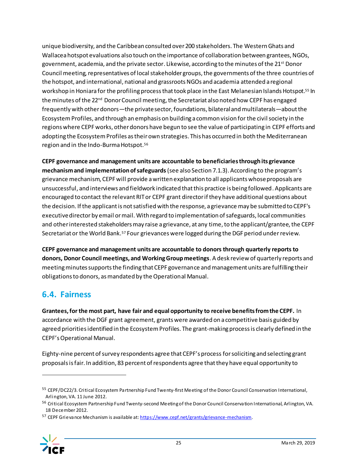unique biodiversity, and the Caribbean consulted over 200 stakeholders. The Western Ghats and Wallacea hotspot evaluations also touch on the importance of collaboration between grantees, NGOs, government, academia, and the private sector. Likewise, according to the minutes of the 21<sup>st</sup> Donor Council meeting, representatives of local stakeholder groups, the governments of the three countries of the hotspot, and international, national and grassroots NGOs and academia attended a regional workshop in Honiara for the profiling process that took place in the East Melanesian Islands Hotspot. <sup>55</sup> In the minutes of the 22<sup>nd</sup> Donor Council meeting, the Secretariat also noted how CEPF has engaged frequently with other donors—the private sector, foundations, bilateral and multilaterals—about the Ecosystem Profiles, and through an emphasis on building a common vision for the civil society in the regions where CEPF works, other donors have begun to see the value of participating in CEPF efforts and adopting the Ecosystem Profiles as their own strategies. This has occurred in both the Mediterranean region and in the Indo-Burma Hotspot. 56

**CEPF governance and management units are accountable to beneficiaries through its grievance mechanism and implementation of safeguards**(see also Sectio[n 7.1.3\)](#page-36-0). According to the program's grievance mechanism, CEPF will provide a written explanation to all applicants whose proposals are unsuccessful, and interviews and fieldwork indicated that this practice is being followed. Applicants are encouraged to contact the relevant RITor CEPF grant director if they have additional questions about the decision. If the applicant is not satisfied with the response, a grievance may be submitted to CEPF's executive director by email or mail. With regard to implementation of safeguards, local communities and other interested stakeholders may raise a grievance, at any time, to the applicant/grantee, the CEPF Secretariat or the World Bank.<sup>57</sup> Four grievances were logged during the DGF period under review.

**CEPF governance and management units are accountable to donors through quarterly reports to donors, Donor Council meetings, and Working Group meetings**. A desk review of quarterly reports and meeting minutes supports the finding that CEPF governance and management units are fulfilling their obligations to donors, as mandated by the Operational Manual.

### <span id="page-26-0"></span>**6.4. Fairness**

**Grantees, for the most part, have fair and equal opportunity to receive benefits from the CEPF.** In accordance with the DGF grant agreement, grants were awarded on a competitive basis guided by agreed priorities identified in the Ecosystem Profiles. The grant-making process is clearly defined in the CEPF's Operational Manual.

Eighty-nine percent of survey respondents agree that CEPF's process for soliciting and selecting grant proposals is fair. In addition, 83 percent of respondents agree that they have equal opportunity to

<sup>57</sup> CEPF Grievance Mechanism is available a[t: https://www.cepf.net/grants/grievance-mechanism](https://www.cepf.net/grants/grievance-mechanism).



<sup>&</sup>lt;sup>55</sup> CEPF/DC22/3. Critical Ecosystem Partnership Fund Twenty-first Meeting of the Donor Council Conservation International, Arlington, VA. 11 June 2012.

<sup>&</sup>lt;sup>56</sup> Critical Ecosystem Partnership Fund Twenty-second Meeting of the Donor Council Conservation International, Arlington, VA. 18 December 2012.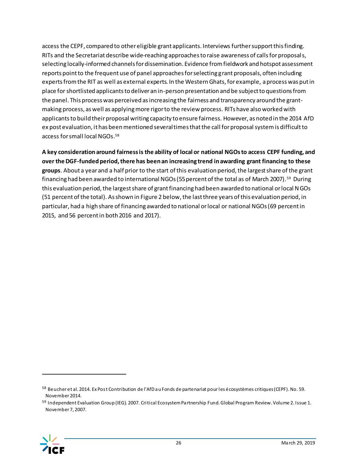access the CEPF, compared to other eligible grant applicants. Interviews furthersupport this finding. RITs and the Secretariat describe wide-reaching approaches to raise awareness of calls for proposals, selecting locally-informed channels for dissemination. Evidence from fieldwork and hotspot assessment reports point to the frequent use of panel approaches for selecting grant proposals, often including experts from the RIT as well as external experts. In the Western Ghats, for example, a process was put in place for shortlisted applicants to deliver an in-person presentation and be subject to questions from the panel. This process was perceived as increasing the fairness and transparency around the grantmaking process, as well as applying more rigor to the review process. RITs have also worked with applicants to build their proposal writing capacity to ensure fairness. However, as noted in the 2014 AfD ex post evaluation, it has been mentioned several times that the call for proposal system is difficult to access for small local NGOs. 58

**A key consideration around fairness is the ability of local or national NGOs to access CEPF funding, and over the DGF-funded period, there has been an increasing trend in awarding grant financing to these groups**. About a year and a half prior to the start of this evaluation period, the largest share of the grant financing had been awarded to international NGOs (55 percent of the total as of March 2007).<sup>59</sup> During this evaluation period, the largest share of grant financing had been awarded to national or local NGOs (51 percent of the total). As shown i[n Figure 2](#page-28-0) below, the last three years of this evaluation period, in particular, had a high share of financing awarded to national or local or national NGOs (69 percent in 2015, and 56 percent in both 2016 and 2017).

<sup>59</sup> Independent Evaluation Group (IEG). 2007. Critical Ecosystem Partnership Fund. Global Program Review. Volume 2. Issue 1. November 7, 2007.



<sup>58</sup> Beucher et al. 2014. Ex Post Contribution de l'AfD au Fonds de partenariat pour les écosystèmes critiques (CEPF). No. 59. November 2014.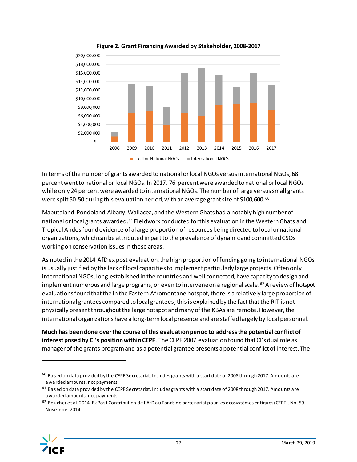<span id="page-28-0"></span>

**Figure 2. Grant Financing Awarded by Stakeholder, 2008-2017**

In terms of the number of grants awarded to national or local NGOs versus international NGOs, 68 percent went to national or local NGOs. In 2017, 76 percent were awarded to national or local NGOs while only 24 percent were awarded to international NGOs. The number of large versus small grants were split 50-50 during this evaluation period, with an average grant size of \$100,600. <sup>60</sup>

Maputaland-Pondoland-Albany, Wallacea, and the Western Ghats had a notably high number of national or local grants awarded.<sup>61</sup> Fieldwork conducted for this evaluation in the Western Ghats and Tropical Andes found evidence of a large proportion of resources being directed to local or national organizations, which can be attributed in part to the prevalence of dynamic and committed CSOs working on conservation issues in these areas.

As noted in the 2014 AfD ex post evaluation, the high proportion of funding going to international NGOs is usually justified by the lack of local capacities to implement particularly large projects. Often only international NGOs, long-established in the countries and well connected, have capacity to design and implement numerous and large programs, or even to intervene on a regional scale.<sup>62</sup> A review of hotspot evaluations found that the in the Eastern Afromontane hotspot, there is a relatively large proportion of international grantees compared to local grantees; thisis explained by the fact that the RIT is not physically present throughout the large hotspot and many of the KBAs are remote. However, the international organizations have a long-term local presence and are staffed largely by local personnel.

**Much has been done over the course of this evaluation period to address the potential conflict of interest posed by CI's position within CEPF**. The CEPF 2007 evaluation found that CI's dual role as manager of the grants program and as a potential grantee presents a potential conflict of interest. The

<sup>62</sup> Beucher et al. 2014. Ex Post Contribution de l'AfD au Fonds de partenariat pour les écosystèmes critiques (CEPF). No. 59. November 2014.



 $60$  Based on data provided by the CEPF Secretariat. Includes grants with a start date of 2008 through 2017. Amounts are awarded amounts, not payments.

 $61$  Based on data provided by the CEPF Secretariat. Includes grants with a start date of 2008 through 2017. Amounts are awarded amounts, not payments.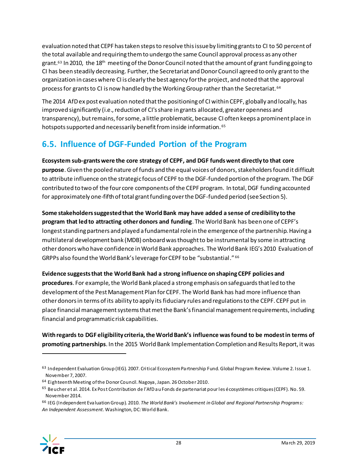evaluation noted that CEPF has taken steps to resolve this issue by limiting grants to CI to 50 percent of the total available and requiring them to undergo the same Council approval process as any other grant.<sup>63</sup> In 2010, the 18<sup>th</sup> meeting of the Donor Council noted that the amount of grant funding going to CI has been steadily decreasing. Further, the Secretariat and Donor Council agreed to only grant to the organization in cases where CI is clearly the best agency for the project, and noted thatthe approval process for grants to CI is now handled by the Working Group rather than the Secretariat. <sup>64</sup>

The 2014 AfD ex post evaluation noted that the positioning of CI within CEPF, globally and locally, has improved significantly (i.e., reduction of CI's share in grants allocated, greater openness and transparency), but remains, for some, a little problematic, because CI often keeps a prominent place in hotspots supported and necessarily benefit from inside information. <sup>65</sup>

## <span id="page-29-0"></span>**6.5. Influence of DGF-Funded Portion of the Program**

**Ecosystem sub-grants were the core strategy of CEPF, and DGF funds went directly to that core purpose**.Given the pooled nature of funds and the equal voices of donors, stakeholders found it difficult to attribute influence on the strategic focus of CEPF to the DGF-funded portion of the program. The DGF contributed to two of the four core components of the CEPF program. In total, DGF funding accounted for approximately one-fifth of total grant funding over the DGF-funded period (see Sectio[n 5\)](#page-16-0).

**Some stakeholders suggested that the World Bank may have added a sense of credibility to the program that led to attracting other donors and funding**. The World Bank has been one of CEPF's longest standing partners and played a fundamental role in the emergence of the partnership. Having a multilateral development bank (MDB) onboard was thought to be instrumental by some in attracting otherdonors who have confidence in World Bank approaches. The World Bank IEG's 2010 Evaluation of GRPPs also found the World Bank's leverage for CEPF to be "substantial." 66

**Evidence suggests that the World Bank had a strong influence on shaping CEPF policies and procedures**. For example, the World Bank placed a strong emphasis on safeguards that led to the development of the Pest Management Plan for CEPF. The World Bank has had more influence than other donors in terms of its ability to apply its fiduciary rules and regulations to the CEPF. CEPF put in place financial management systems that met the Bank's financial management requirements, including financial and programmatic risk capabilities.

**With regards to DGF eligibility criteria, the World Bank's influence was found to be modest in terms of promoting partnerships**. In the 2015 World Bank Implementation Completion and Results Report, it was

<sup>66</sup> IEG (Independent Evaluation Group). 2010. *The World Bank's Involvement in Global and Regional Partnership Programs: An Independent Assessment*. Washington, DC: World Bank.



<sup>63</sup> Independent Evaluation Group (IEG). 2007. Critical Ecosystem Partnership Fund. Global Program Review. Volume 2. Issue 1. November 7, 2007.

<sup>64</sup> Eighteenth Meeting of the Donor Council. Nagoya, Japan. 26 October 2010.

<sup>65</sup> Beucher et al. 2014. Ex Post Contribution de l'AfD au Fonds de partenariat pour les écosystèmes critiques (CEPF). No. 59. November 2014.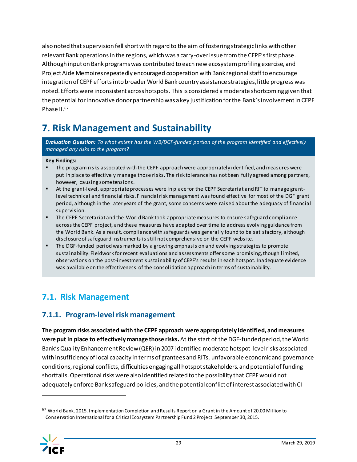also noted that supervision fell short with regard to the aim of fostering strategic links with other relevant Bank operations in the regions, which was a carry-over issue from the CEPF's first phase. Although input on Bank programs was contributed to each new ecosystem profiling exercise, and Project Aide Memoires repeatedly encouraged cooperation with Bank regional staff to encourage integration of CEPF efforts into broader World Bank country assistance strategies, little progress was noted. Efforts were inconsistent across hotspots. This is considered a moderate shortcoming given that the potential for innovative donor partnership was a key justification for the Bank's involvement in CEPF Phase II.<sup>67</sup>

## <span id="page-30-0"></span>**7. Risk Management and Sustainability**

*Evaluation Question: To what extent has the WB/DGF-funded portion of the program identified and effectively managed any risks to the program?*

#### **Key Findings:**

- The program risks associated with the CEPF approach were appropriately identified, and measures were put in place to effectively manage those risks. The risk tolerance has not been fully agreed among partners, however, causing some tensions.
- At the grant-level, appropriate processes were in place for the CEPF Secretariat and RIT to manage grantlevel technical and financial risks. Financial risk management was found effective for most of the DGF grant period, although in the later years of the grant, some concerns were raised about the adequacy of financial supervision.
- **The CEPF Secretariat and the World Bank took appropriate measures to ensure safeguard compliance** across the CEPF project, and these measures have adapted over time to address evolving guidance from the World Bank. As a result, compliance with safeguards was generally found to be satisfactory, although disclosure of safeguard instruments is still not comprehensive on the CEPF website.
- **•** The DGF-funded period was marked by a growing emphasis on and evolving strategies to promote sustainability. Fieldwork for recent evaluations and assessments offer some promising, though limited, observations on the post-investment sustainability of CEPF's results in each hotspot. Inadequate evidence was available on the effectiveness of the consolidation approach in terms of sustainability.

### <span id="page-30-1"></span>**7.1. Risk Management**

### <span id="page-30-2"></span>**7.1.1. Program-level risk management**

**The program risks associated with the CEPF approach were appropriately identified, and measures were put in place to effectively manage those risks.** At the start of the DGF-funded period, the World Bank's Quality Enhancement Review (QER) in 2007 identified moderate hotspot-level risks associated with insufficiency of local capacity in terms of grantees and RITs, unfavorable economic and governance conditions, regional conflicts, difficulties engaging all hotspot stakeholders, and potential of funding shortfalls. Operational risks were also identified related to the possibility that CEPF would not adequately enforce Bank safeguard policies, and the potential conflict of interest associated with CI

<sup>67</sup> World Bank. 2015. Implementation Completion and Results Report on a Grant in the Amount of 20.00 Million to Conservation International for a Critical Ecosystem Partnership Fund 2 Project. September 30, 2015.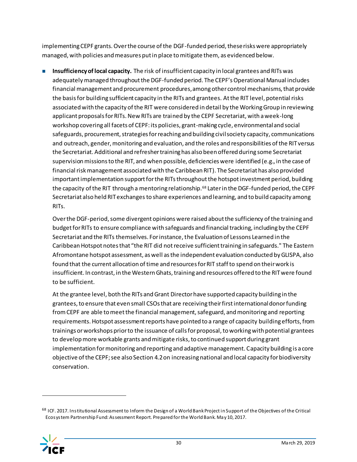implementing CEPF grants. Over the course of the DGF-funded period, these risks were appropriately managed, with policies and measures put in place to mitigate them, as evidenced below.

◼ **Insufficiency of local capacity.** The risk of insufficient capacity in local grantees and RITs was adequately managed throughout the DGF-funded period. The CEPF's Operational Manual includes financial management and procurement procedures, among other control mechanisms, that provide the basis for building sufficient capacity in the RITs and grantees. At the RIT level, potential risks associated with the capacity of the RIT were considered in detail by the Working Group in reviewing applicant proposals for RITs. New RITs are trained by the CEPF Secretariat, with a week-long workshop covering all facets of CEPF: its policies, grant-making cycle, environmental and social safeguards, procurement, strategies for reaching and building civil society capacity, communications and outreach, gender, monitoring and evaluation, and the roles and responsibilities of the RIT versus the Secretariat. Additional and refresher training has also been offered during some Secretariat supervision missions to the RIT, and when possible, deficiencies were identified (e.g., in the case of financial risk management associated with the Caribbean RIT). The Secretariat has also provided important implementation support for the RITs throughout the hotspot investment period, building the capacity of the RIT through a mentoring relationship.<sup>68</sup> Later in the DGF-funded period, the CEPF Secretariat also held RIT exchangesto share experiences and learning, and to build capacity among RITs.

Over the DGF-period, some divergent opinions were raised about the sufficiency of the training and budget for RITs to ensure compliance with safeguards and financial tracking, including by the CEPF Secretariat and the RITs themselves. For instance, the Evaluation of Lessons Learned in the Caribbean Hotspot notes that "the RIT did notreceive sufficient training in safeguards." The Eastern Afromontane hotspot assessment, as well as the independent evaluation conducted by GLISPA, also found that the current allocation of time and resources for RIT staff to spend on their work is insufficient. In contrast, in the Western Ghats, training and resources offered to the RIT were found to be sufficient.

At the grantee level, both the RITs and Grant Director have supported capacity building in the grantees, to ensure that even small CSOs that are receiving their first international donor funding from CEPF are able to meet the financial management, safeguard, and monitoring and reporting requirements. Hotspot assessment reports have pointed to a range of capacity building efforts, from trainings or workshops prior to the issuance of calls for proposal, to working with potential grantees to develop more workable grants and mitigate risks, to continued support during grant implementation for monitoring and reporting and adaptive management. Capacity building is a core objective of the CEPF; see also Sectio[n 4.2](#page-14-0)on increasing national and local capacity for biodiversity conservation.

<sup>&</sup>lt;sup>68</sup> ICF. 2017. Institutional Assessment to Inform the Design of a World Bank Project in Support of the Objectives of the Critical Ecosystem Partnership Fund: Assessment Report. Prepared for the World Bank. May 10, 2017.

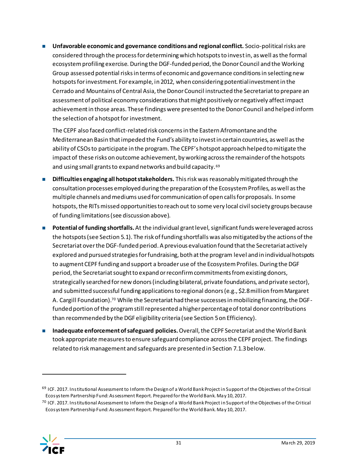■ Unfavorable economic and governance conditions and regional conflict. Socio-political risks are considered through the process for determining which hotspots to invest in, as well as the formal ecosystem profiling exercise. During the DGF-funded period, the Donor Council and the Working Group assessed potential risks in terms of economic and governance conditions in selecting new hotspots for investment. For example, in 2012, when considering potential investment in the Cerrado and Mountains of Central Asia, the Donor Council instructed the Secretariat to prepare an assessment of political economy considerations that might positively or negatively affect impact achievement in those areas. These findings were presented to the Donor Council and helped inform the selection of a hotspot for investment.

The CEPF also faced conflict-related risk concerns in the Eastern Afromontane and the Mediterranean Basin that impeded the Fund's ability to invest in certain countries, as well as the ability of CSOs to participate in the program. The CEPF's hotspot approach helped to mitigate the impact of these risks on outcome achievement, by working across the remainder of the hotspots and using small grants to expand networks and build capacity.<sup>69</sup>

- **Difficulties engaging all hotspot stakeholders.** This risk was reasonably mitigated through the consultation processes employed during the preparation of the Ecosystem Profiles, as well as the multiple channels and mediums used for communication of open calls for proposals. In some hotspots, the RITs missed opportunities to reach out to some very local civil society groups because of funding limitations (see discussion above).
- **Potential of funding shortfalls.** At the individual grant level, significant funds were leveraged across the hotspots (see Sectio[n 5.1\)](#page-16-1). The risk of funding shortfalls was also mitigated by the actions of the Secretariat over the DGF-funded period. A previous evaluation found that the Secretariat actively explored and pursued strategies for fundraising, both at the program level and in individual hotspots to augment CEPF funding and support a broader use of the Ecosystem Profiles. During the DGF period, the Secretariat sought to expand or reconfirm commitments from existing donors, strategically searched for new donors (including bilateral, private foundations, and private sector), and submitted successful funding applications to regional donors (e.g., \$2.8 million from Margaret A. Cargill Foundation).<sup>70</sup> While the Secretariat had these successes in mobilizing financing, the DGFfunded portion of the program still represented a higher percentage of total donor contributions than recommended by the DGF eligibility criteria (see Sectio[n 5](#page-16-0)on Efficiency).
- ◼ **Inadequate enforcement of safeguard policies.**Overall, the CEPF Secretariat and the World Bank took appropriate measures to ensure safeguard compliance across the CEPF project. The findings related to risk management and safeguards are presented in Sectio[n 7.1.3](#page-36-0)below.

 $^{70}$  ICF. 2017. Institutional Assessment to Inform the Design of a World Bank Project in Support of the Objectives of the Critical Ecosystem Partnership Fund: Assessment Report. Prepared for the World Bank. May 10, 2017.



 $69$  ICF. 2017. Institutional Assessment to Inform the Design of a World Bank Project in Support of the Objectives of the Critical Ecosystem Partnership Fund: Assessment Report. Prepared for the World Bank. May 10, 2017.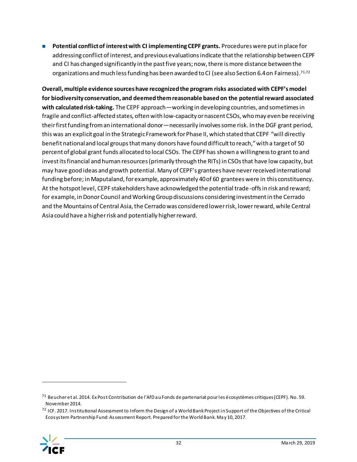■ **Potential conflict of interest with CI implementing CEPF grants.** Procedures were put in place for addressing conflict of interest, and previous evaluations indicate that the relationship between CEPF and CI has changed significantly in the past five years; now, there is more distance between the organizations and much less funding has been awarded to CI (see also Sectio[n 6.4](#page-26-0)on Fairness). 71,72

**Overall, multiple evidence sources have recognized the program risks associated with CEPF's model for biodiversity conservation, and deemed them reasonable based on the potential reward associated with calculated risk-taking.** The CEPF approach—working in developing countries, and sometimes in fragile and conflict-affected states, often with low-capacity or nascent CSOs, who may even be receiving their first funding from an international donor—necessarily involves some risk. In the DGF grant period, this was an explicit goal in the Strategic Framework for Phase II, which stated that CEPF "will directly benefit national and local groups that many donors have found difficult to reach," with a target of 50 percent of global grant funds allocated to local CSOs. The CEPF has shown a willingness to grant to and invest its financial and human resources (primarily through the RITs) in CSOs that have low capacity, but may have good ideas and growth potential. Many of CEPF's grantees have never received international funding before; in Maputaland, for example, approximately 40 of 60 grantees were in this constituency. At the hotspot level, CEPF stakeholders have acknowledged the potential trade-offs in risk and reward; for example, in Donor Council and Working Group discussions considering investment in the Cerrado and the Mountains of Central Asia, the Cerrado was considered lower risk, lower reward, while Central Asia could have a higher risk and potentially higher reward.

<sup>72</sup> ICF. 2017. Institutional Assessment to Inform the Design of a World Bank Project in Support of the Objectives of the Critical Ecosystem Partnership Fund: Assessment Report. Prepared for the World Bank. May 10, 2017.



<sup>71</sup> Beucher et al. 2014. Ex Post Contribution de l'AfD au Fonds de partenariat pour les écosystèmes critiques (CEPF). No. 59. November 2014.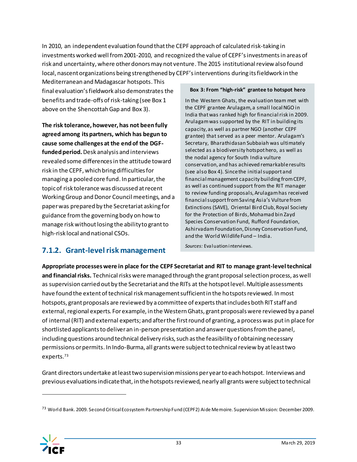In 2010, an independent evaluation found that the CEPF approach of calculated risk-taking in investments worked well from 2001-2010, and recognized the value of CEPF'sinvestmentsin areas of risk and uncertainty, where other donors may not venture. The 2015 institutional review also found local, nascent organizations being strengthened by CEPF's interventions during its fieldwork in the

Mediterranean and Madagascar hotspots. This final evaluation's fieldwork also demonstrates the benefits and trade-offs of risk-taking (se[e Box 1](#page-13-0) above on the Shencottah Gap an[d Box 3\)](#page-34-1).

**The risk tolerance, however, has not been fully agreedamong its partners, which has begun to cause some challenges at the end of the DGFfunded period.** Desk analysis and interviews revealed some differences in the attitude toward risk in the CEPF, which bring difficulties for managing a pooled core fund. In particular, the topic of risk tolerance was discussed at recent Working Group and Donor Council meetings, and a paper was prepared by the Secretariat asking for guidance from the governing body on how to manage risk without losing the ability to grant to high-risk local and national CSOs.

#### <span id="page-34-1"></span>**Box 3: From "high-risk" grantee to hotspot hero**

In the Western Ghats, the evaluation team met with the CEPF grantee Arulagam, a small local NGO in India that was ranked high for financial risk in 2009. Arulagam was supported by the RIT in building its capacity, as well as partner NGO (another CEPF grantee) that served as a peer mentor. Arulagam's Secretary, Bharathidasan Subbaiah was ultimately selected as a biodiversity hotspot hero, as well as the nodal agency for South India vulture conservation, and has achieved remarkable results (see als[o Box 4\)](#page-41-0). Since the initial support and financial management capacity building from CEPF, as well as continued support from the RIT manager to review funding proposals, Arulagam has received financial support from Saving Asia's Vulture from Extinctions (SAVE), Oriental Bird Club, Royal Society for the Protection of Birds, Mohamad bin Zayd Species Conservation Fund, Rufford Foundation, Ashirvadam Foundation, Disney Conservation Fund, and the World Wildlife Fund – India.

### <span id="page-34-0"></span>**7.1.2. Grant-level risk management**

*Sources:* Evaluation interviews.

**Appropriate processes were in place for the CEPF Secretariat and RIT to manage grant-level technical and financial risks.** Technical risks were managed through the grant proposal selection process, as well as supervision carried out by the Secretariat and the RITs at the hotspot level. Multiple assessments have found the extent of technical risk management sufficient in the hotspots reviewed. In most hotspots, grant proposals are reviewed by a committee of experts that includes both RIT staff and external, regional experts. For example, in the Western Ghats, grant proposals were reviewed by a panel of internal (RIT) and external experts; and after the first round of granting, a process was put in place for shortlisted applicants to deliver an in-person presentation and answer questions from the panel, including questions around technical delivery risks, such as the feasibility of obtaining necessary permissions or permits. In Indo-Burma, all grants were subject to technical review by at least two experts.<sup>73</sup>

Grant directors undertake at least two supervision missions per year to each hotspot. Interviews and previous evaluations indicate that, in the hotspots reviewed, nearly all grants were subject to technical

<sup>73</sup> World Bank. 2009. Second Critical Ecosystem Partnership Fund (CEPF2) Aide Memoire. Supervision Mission: December 2009.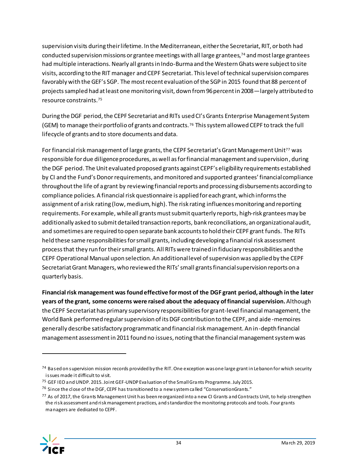supervision visits during their lifetime. In the Mediterranean, either the Secretariat, RIT, or both had conducted supervision missions or grantee meetings with all large grantees,<sup>74</sup> and most large grantees had multiple interactions. Nearly all grants in Indo-Burma and the Western Ghats were subject to site visits, according to the RIT manager and CEPF Secretariat. This level of technical supervision compares favorably with the GEF's SGP. The most recent evaluation of the SGP in 2015 found that 88 percent of projects sampled had at least one monitoring visit, down from 96 percent in 2008—largely attributed to resource constraints.<sup>75</sup>

During the DGF period, the CEPF Secretariat and RITs used CI's Grants Enterprise Management System (GEM) to manage their portfolio of grants and contracts.<sup>76</sup> This system allowed CEPF to track the full lifecycle of grants and to store documents and data.

For financial risk management of large grants, the CEPF Secretariat's Grant Management Unit<sup>77</sup> was responsible for due diligence procedures, as well as for financial management and supervision, during the DGF period. The Unit evaluated proposed grants against CEPF's eligibility requirements established by CI and the Fund's Donor requirements, and monitored and supported grantees' financial compliance throughout the life of a grant by reviewing financial reports and processing disbursements according to compliance policies. A financial risk questionnaire is applied for each grant, which informs the assignment of a risk rating (low, medium, high). The risk rating influences monitoring and reporting requirements. For example, while all grants must submit quarterly reports, high-risk grantees may be additionally asked to submit detailed transaction reports, bank reconciliations, an organizational audit, and sometimes are required to open separate bank accounts to hold their CEPF grant funds. The RITs held these same responsibilities for small grants, including developing a financial risk assessment process that they run for their small grants. All RITs were trained in fiduciary responsibilities and the CEPF Operational Manual upon selection. An additionallevel of supervision was applied by the CEPF Secretariat Grant Managers, who reviewed the RITs' small grants financial supervision reports on a quarterly basis.

**Financial risk management was found effective for most of the DGF grant period, although in the later years of the grant, some concerns were raised about the adequacy of financial supervision.**Although the CEPF Secretariat has primary supervisory responsibilities for grant-level financial management, the World Bank performed regular supervision of its DGF contribution to the CEPF, and aide -memoires generally describe satisfactory programmatic and financial risk management. An in-depth financial management assessment in 2011 found no issues, noting that the financial management system was

 $77$  As of 2017, the Grants Management Unit has been reorganized into a new CI Grants and Contracts Unit, to help strengthen the risk assessment and risk management practices, and standardize the monitoring protocols and tools. Four grants managers are dedicated to CEPF.



<sup>&</sup>lt;sup>74</sup> Based on supervision mission records provided by the RIT. One exception was one large grant in Lebanon for which security issues made it difficult to visit.

<sup>75</sup> GEF IEO and UNDP. 2015. Joint GEF-UNDP Evaluation of the Small Grants Programme. July 2015.

 $76$  Since the close of the DGF, CEPF has transitioned to a new system called "ConservationGrants."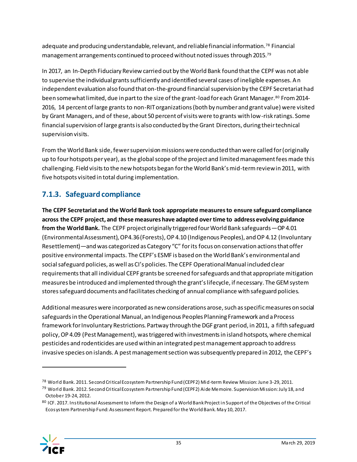adequate and producing understandable, relevant, and reliable financial information.<sup>78</sup> Financial management arrangements continued to proceed without noted issues through 2015. 79

In 2017, an In-Depth Fiduciary Review carried out by the World Bank found that the CEPF was not able to supervise the individual grants sufficiently and identified several cases of ineligible expenses. An independent evaluation also found that on-the-ground financial supervision by the CEPF Secretariat had been somewhat limited, due in part to the size of the grant-load for each Grant Manager.<sup>80</sup> From 2014-2016, 14 percent of large grants to non-RIT organizations (both by number and grant value) were visited by Grant Managers, and of these, about 50 percent of visits were to grants with low-risk ratings. Some financial supervision of large grants is also conducted by the Grant Directors, during their technical supervision visits.

From the World Bank side, fewer supervision missions were conducted than were called for (originally up to four hotspots per year), as the global scope of the project and limited management fees made this challenging. Field visits to the new hotspots began for the World Bank's mid-term review in 2011, with five hotspots visited in total during implementation.

### <span id="page-36-0"></span>**7.1.3. Safeguard compliance**

**The CEPF Secretariat and the World Bank took appropriate measures to ensure safeguard compliance across the CEPF project, and these measures have adapted over time to address evolving guidance from the World Bank.** The CEPF project originally triggered four World Bank safeguards—OP 4.01 (Environmental Assessment), OP4.36 (Forests), OP 4.10 (Indigenous Peoples), and OP 4.12 (Involuntary Resettlement)—and was categorized as Category "C" for its focus on conservation actions that offer positive environmental impacts. The CEPF's ESMF is based on the World Bank's environmental and social safeguard policies, as well as CI's policies. The CEPF Operational Manual included clear requirements that all individual CEPF grants be screened for safeguards and that appropriate mitigation measures be introduced and implemented through the grant's lifecycle, if necessary. The GEM system stores safeguard documents and facilitates checking of annual compliance with safeguard policies.

Additional measures were incorporated as new considerations arose, such as specific measures on social safeguards in the Operational Manual, an Indigenous Peoples Planning Framework and a Process framework for Involuntary Restrictions. Partway through the DGF grant period, in 2011, a fifth safeguard policy, OP 4.09 (Pest Management), was triggered with investments in island hotspots, where chemical pesticides and rodenticides are used within an integrated pest management approach to address invasive species on islands. A pest management section was subsequently prepared in 2012, the CEPF's

<sup>80</sup> ICF. 2017. Institutional Assessment to Inform the Design of a World Bank Project in Support of the Objectives of the Critical Ecosystem Partnership Fund: Assessment Report. Prepared for the World Bank. May 10, 2017.



I

<sup>&</sup>lt;sup>78</sup> World Bank. 2011. Second Critical Ecosystem Partnership Fund (CEPF2) Mid-term Review Mission: June 3-29, 2011.

<sup>&</sup>lt;sup>79</sup> World Bank. 2012. Second Critical Ecosystem Partnership Fund (CEPF2) Aide Memoire. Supervision Mission: July 18, and October 19-24, 2012.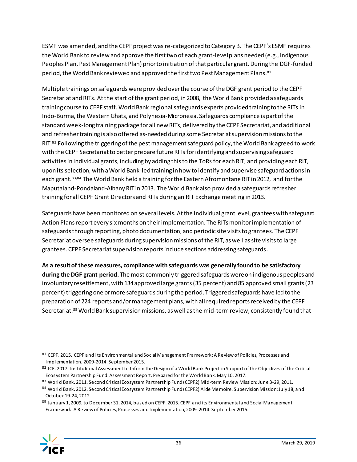ESMF was amended, and the CEPF project was re-categorized to Category B. The CEPF's ESMF requires the World Bank to review and approve the first two of each grant-level plans needed (e.g., Indigenous Peoples Plan, Pest Management Plan) prior to initiation of that particular grant. During the DGF-funded period, the World Bank reviewed and approved the first two Pest Management Plans.<sup>81</sup>

Multiple trainings on safeguards were provided over the course of the DGF grant period to the CEPF Secretariat and RITs. At the start of the grant period, in 2008, the World Bank provided a safeguards training course to CEPF staff. World Bank regional safeguards experts provided training to the RITs in Indo-Burma, the Western Ghats, and Polynesia-Micronesia. Safeguards compliance is part of the standard week-long training package for all new RITs, delivered by the CEPF Secretariat, and additional and refresher training is also offered as-needed during some Secretariat supervision missions to the RIT.<sup>82</sup> Following the triggering of the pest management safeguard policy, the World Bank agreed to work with the CEPF Secretariat to better prepare future RITs for identifying and supervising safeguard activities in individual grants, including by adding this to the ToRs for each RIT, and providing each RIT, upon its selection, with a World Bank-led training in how to identify and supervise safeguard actions in each grant.83,84 The World Bank held a training for the Eastern Afromontane RIT in 2012, and for the Maputaland-Pondaland-Albany RIT in 2013. The World Bank also provided a safeguards refresher training for all CEPF Grant Directors and RITs during an RIT Exchange meeting in 2013.

Safeguards have been monitored on several levels. At the individual grant level, grantees with safeguard Action Plans report every six months on their implementation. The RITs monitor implementation of safeguards through reporting, photo documentation, and periodic site visits to grantees. The CEPF Secretariat oversee safeguards during supervision missions of the RIT, as well as site visits to large grantees. CEPF Secretariat supervision reports include sections addressing safeguards.

**As a result of these measures, compliance withsafeguards was generally found to be satisfactory during the DGF grant period.** The most commonly triggered safeguards were on indigenous peoples and involuntary resettlement, with 134 approved large grants (35 percent) and 85 approved small grants (23 percent) triggering one or more safeguards during the period. Triggered safeguards have led to the preparation of 224 reports and/or management plans, with all required reports received by the CEPF Secretariat.<sup>85</sup> World Bank supervision missions, as well as the mid-term review, consistently found that

<sup>85</sup> January 1, 2009, to December 31, 2014, based on CEPF. 2015. CEPF and its Environmental and Social Management Framework: A Review of Policies, Processes and Implementation, 2009-2014. September 2015.



<sup>81</sup> CEPF. 2015. CEPF and its Environmental and Social Management Framework: A Review of Policies, Processes and Implementation, 2009-2014. September 2015.

<sup>82</sup> ICF. 2017. Institutional Assessment to Inform the Design of a World Bank Project in Support of the Objectives of the Critical Ecosystem Partnership Fund: Assessment Report. Prepared for the World Bank. May 10, 2017.

<sup>83</sup> World Bank. 2011. Second Critical Ecosystem Partnership Fund (CEPF2) Mid-term Review Mission: June 3-29, 2011.

<sup>84</sup> World Bank. 2012. Second Critical Ecosystem Partnership Fund (CEPF2) Aide Memoire. Supervision Mission: July 18, and October 19-24, 2012.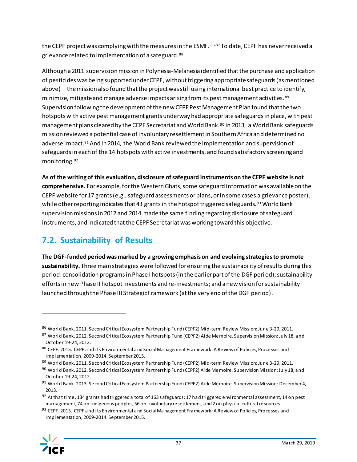the CEPF project was complying with the measures in the ESMF. 86,87 To date, CEPF has never received a grievance related to implementation of a safeguard.<sup>88</sup>

Although a 2011 supervision mission in Polynesia-Melanesia identified that the purchase and application of pesticides was being supported under CEPF, without triggering appropriate safeguards (as mentioned above)—the mission also found that the project was still using international best practice to identify, minimize, mitigate and manage adverse impacts arising from its pest management activities. 89 Supervision following the development of the new CEPF Pest Management Plan found that the two hotspots with active pest management grants underway had appropriate safeguards in place, with pest management plans cleared by the CEPF Secretariat and World Bank. <sup>90</sup> In 2013, a World Bank safeguards mission reviewed a potential case of involuntary resettlement in Southern Africa and determined no adverse impact.<sup>91</sup> And in 2014, the World Bank reviewed the implementation and supervision of safeguards in each of the 14 hotspots with active investments, and found satisfactory screening and monitoring.<sup>92</sup>

**As of the writing of this evaluation, disclosure of safeguard instruments on the CEPF website is not comprehensive.** For example, for the Western Ghats, some safeguard information was available on the CEPF website for 17 grants(e.g., safeguard assessments or plans, or in some cases a grievance poster), while other reporting indicates that 43 grants in the hotspot triggered safeguards. 93 World Bank supervision missions in 2012 and 2014 made the same finding regarding disclosure of safeguard instruments, and indicated that the CEPF Secretariat was working toward this objective.

## <span id="page-38-0"></span>**7.2. Sustainability of Results**

**The DGF-funded periodwas marked by a growing emphasis on and evolving strategies to promote sustainability.** Three main strategies were followed for ensuring the sustainability of results during this period: consolidation programs in Phase I hotspots (in the earlier part of the DGF period); sustainability efforts in new Phase II hotspot investments and re-investments; and a new vision for sustainability launched through the Phase III Strategic Framework (at the very end of the DGF period).

<sup>86</sup> World Bank. 2011. Second Critical Ecosystem Partnership Fund (CEPF2) Mid-term Review Mission: June 3-29, 2011.

<sup>87</sup> World Bank. 2012. Second Critical Ecosystem Partnership Fund (CEPF2) Aide Memoire. Supervision Mission: July 18, and October 19-24, 2012.

<sup>88</sup> CEPF. 2015. CEPF and its Environmental and Social Management Framework: A Review of Policies, Processes and Implementation, 2009-2014. September 2015.

<sup>89</sup> World Bank. 2011. Second Critical Ecosystem Partnership Fund (CEPF2) Mid-term Review Mission: June 3-29, 2011.

<sup>90</sup> World Bank. 2012. Second Critical Ecosystem Partnership Fund (CEPF2) Aide Memoire. Supervision Mission: July 18, and October 19-24, 2012.

<sup>&</sup>lt;sup>91</sup> World Bank. 2013. Second Critical Ecosystem Partnership Fund (CEPF2) Aide Memoire. Supervision Mission: December 4, 2013.

<sup>92</sup> At that time, 134 grants had triggered a total of 163 safeguards: 17 had triggered environmental assessment, 14 on pest management, 74 on indigenous peoples, 56 on involuntary resettlement, and 2 on physical cultural resources.

<sup>93</sup> CEPF. 2015. CEPF and its Environmental and Social Management Framework: A Review of Policies, Processes and Implementation, 2009-2014. September 2015.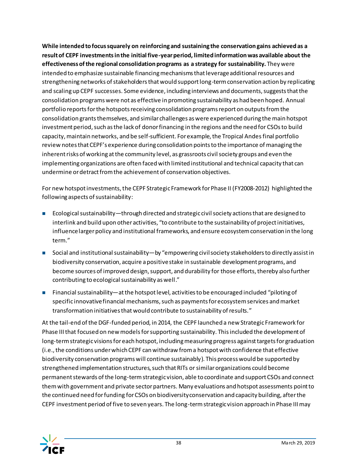**While intended to focus squarely on reinforcing and sustaining the conservation gains achieved as a result of CEPF investments in the initial five-year period, limited information was available about the effectiveness of the regional consolidation programs as a strategy for sustainability.** They were intended to emphasize sustainable financing mechanisms that leverage additional resources and strengthening networks of stakeholders that would support long-term conservation action by replicating and scaling up CEPF successes. Some evidence, including interviews and documents, suggests that the consolidation programs were not as effective in promoting sustainability as had been hoped. Annual portfolio reports for the hotspots receiving consolidation programs report on outputs from the consolidation grants themselves, and similar challenges as were experienced during the main hotspot investment period, such as the lack of donor financing in the regions and the need for CSOsto build capacity, maintain networks, and be self-sufficient. For example, the Tropical Andes final portfolio review notes that CEPF's experience during consolidation points to the importance of managing the inherent risks of working at the community level, as grassroots civil society groups and even the implementing organizations are often faced with limited institutional and technical capacity that can undermine or detract from the achievement of conservation objectives.

For new hotspot investments, the CEPF Strategic Framework for Phase II (FY2008-2012) highlighted the following aspects of sustainability:

- Ecological sustainability—through directed and strategic civil society actions that are designed to interlink and build upon other activities, "to contribute to the sustainability of project initiatives, influence larger policy and institutional frameworks, and ensure ecosystem conservation in the long term."
- Social and institutional sustainability—by "empowering civil society stakeholders to directly assist in biodiversity conservation, acquire a positive stake in sustainable development programs, and become sources of improved design, support, and durability for those efforts, thereby also further contributing to ecological sustainability as well."
- Financial sustainability—at the hotspot level, activities to be encouraged included "piloting of specific innovative financial mechanisms, such as payments for ecosystem services and market transformation initiatives that would contribute to sustainability of results."

At the tail-end of the DGF-funded period, in 2014, the CEPF launched a new Strategic Framework for Phase III that focused on new models for supporting sustainability. This included the development of long-term strategic visions for each hotspot, including measuring progress against targets for graduation (i.e., the conditions under which CEPF can withdraw from a hotspot with confidence that effective biodiversity conservation programs will continue sustainably). This process would be supported by strengthened implementation structures, such that RITs or similar organizations could become permanent stewards of the long-term strategic vision, able to coordinate and support CSOs and connect them with government and private sector partners. Many evaluations and hotspot assessments point to the continued need for funding for CSOs on biodiversity conservation and capacity building, after the CEPF investment period of five to seven years. The long-term strategic vision approach in Phase III may

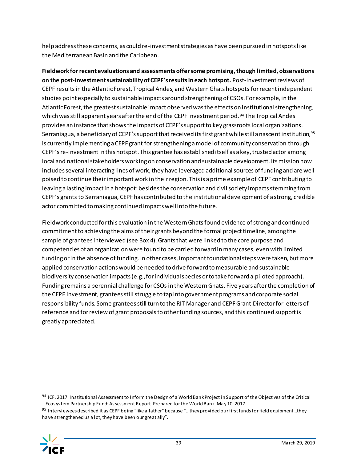help address these concerns, as could re-investment strategies as have been pursued in hotspots like the Mediterranean Basin and the Caribbean.

**Fieldwork for recent evaluations and assessments offer some promising, though limited, observations on the post-investment sustainability of CEPF'sresultsin each hotspot.** Post-investment reviews of CEPF results in the Atlantic Forest, Tropical Andes, and Western Ghats hotspots for recent independent studies point especially to sustainable impacts around strengthening of CSOs. For example, in the Atlantic Forest, the greatest sustainable impact observed was the effects on institutional strengthening, which was still apparent years after the end of the CEPF investment period.<sup>94</sup> The Tropical Andes provides an instance that shows the impacts of CEPF's support to key grassroots local organizations. [Serraniagua](https://www.serraniagua.org/), a beneficiary of CEPF's support that received its first grant while still a nasce nt institution,<sup>95</sup> is currently implementing a CEPF grant for strengthening a model of community conservation through CEPF's re-investment in this hotspot. This grantee has established itself as a key, trusted actor among local and national stakeholders working on conservation and sustainable development. Its mission now includes several interacting lines of work, they have leveraged additional sources of funding and are well poised to continue their important work in their region. This is a prime example of CEPF contributing to leaving a lasting impact in a hotspot: besides the conservation and civil society impacts stemming from CEPF's grants to Serraniagua, CEPF has contributed to the institutionaldevelopment of a strong, credible actor committed to making continued impacts well into the future.

Fieldwork conducted for this evaluation in the Western Ghatsfound evidence of strong and continued commitment to achieving the aims of their grants beyond the formal project timeline, among the sample of grantees interviewed (se[e Box 4\)](#page-41-0). Grants that were linked to the core purpose and competencies of an organization were found to be carried forward in many cases, even with limited funding or in the absence of funding. In other cases, important foundational steps were taken, but more applied conservation actions would be needed to drive forward to measurable and sustainable biodiversity conservation impacts (e.g., for individual species or to take forward a piloted approach). Funding remains a perennial challenge for CSOsin the Western Ghats. Five years after the completion of the CEPF investment, grantees still struggle to tap into government programs and corporate social responsibility funds. Some grantees still turn to the RIT Manager and CEPF Grant Director for letters of reference and for review of grant proposals to other funding sources, and this continued support is greatly appreciated.

<sup>95</sup> Interviewees described it as CEPF being "like a father" because "...they provided our first funds for field equipment...they have strengthened us a lot, they have been our great ally".



<sup>94</sup> ICF. 2017. Institutional Assessment to Inform the Design of a World Bank Project in Support of the Objectives of the Critical Ecosystem Partnership Fund: Assessment Report. Prepared for the World Bank. May 10, 2017.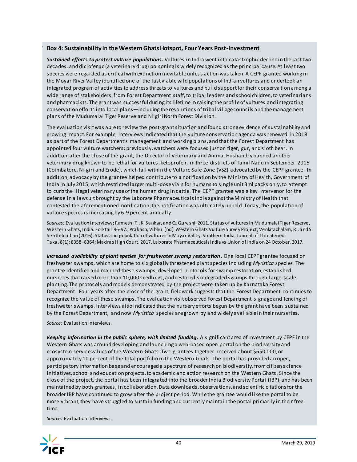#### <span id="page-41-0"></span>Box 4: Sustainability in the Western Ghats Hotspot, Four Years Post-Investment

*Sustained efforts to protect vulture populations***.** Vultures in India went into catastrophic decline in the last two decades, and diclofenac (a veterinary drug) poisoning is widely recognized as the principal cause. At least two species were regarded as critical with extinction inevitable unless action was taken. A CEPF grantee working in the Moyar River Valley identified one of the last viable wild populations of Indian vultures and undertook an integrated program of activities to address threats to vultures and build support for their conserva tion among a wide range of stakeholders, from Forest Department staff, to tribal leaders and schoolchildren, to veterinarians and pharmacists. The grant was successful during its lifetime in raising the profile of vultures and integrating conservation efforts into local plans—including the resolutions of tribal village councils and the management plans of the Mudumalai Tiger Reserve and Nilgiri North Forest Division.

The evaluation visit was able to review the post-grant situation and found strong evidence of sustainability and growing impact. For example, interviews indicated that the vulture conservation agenda was renewed in 2018 as part of the Forest Department's management and working plans, and that the Forest Department has appointed four vulture watchers; previously, watchers were focused just on tiger, gur, and sloth bear. In addition, after the close of the grant, the Director of Veterinary and Animal Husbandry banned another veterinary drug known to be lethal for vultures, ketoprofen, in three districts of Tamil Nadu in September 2015 (Coimbatore, Nilgiri and Erode), which fall within the Vulture Safe Zone (VSZ) advocated by the CEPF grantee. In addition, advocacy by the grantee helped contribute to a notification by the Ministry of Health, Government of India in July 2015, which restricted larger multi-dose vials for humans to single unit 3ml packs only, to attempt to curb the illegal veterinary use of the human drug in cattle. The CEPF grantee was a key intervenor for the defense in a lawsuit brought by the Laborate Pharmaceuticals India against the Ministry of Health that contested the aforementioned notification; the notification was ultimately upheld. Today, the population of vulture species is increasing by 6-9 percent annually.

*Sources:* Evaluation interviews; Ramesh, T., K. Sankar, and Q. Qureshi. 2011. Status of vultures in Mudumalai Tiger Reserve, Western Ghats, India. Forktail. 96-97.; Prakash, Vibhu. (nd). Western Ghats Vulture Survey Project; Venkitachalam, R., and S. Senthilnathan (2016). Status and population of vultures in Moyar Valley, Southern India. Journal of Threatened Taxa. 8(1): 8358–8364; Madras High Court. 2017. Laborate PharmaceuticalsIndia vs Union of India on 24 October, 2017.

*Increased availability of plant species for freshwater swamp restoration***.** One local CEPF grantee focused on freshwater swamps, which are home to six globally threatened plant species including *Myristica* species. The grantee identified and mapped these swamps, developed protocols for swamp restoration, established nurseries that raised more than 10,000 seedlings, and restored six degraded swamps through large-scale planting. The protocols and models demonstrated by the project were taken up by Karnataka Forest Department. Four years after the close of the grant, fieldwork suggests that the Forest Department continues to recognize the value of these swamps. The evaluation visit observed Forest Department signage and fencing of freshwater swamps. Interviews also indicated that the nursery efforts begun by the grant have been sustained by the Forest Department, and now *Myristica* species are grown by and widely available in their nurseries.

*Source:* Evaluation interviews.

*Keeping information in the public sphere, with limited funding***.** A significant area of investment by CEPF in the Western Ghats was around developing and launching a web-based open portal on the biodiversity and ecosystem service values of the Western Ghats. Two grantees together received about \$650,000, or approximately 10 percent of the total portfolio in the Western Ghats. The portal has provided an open, participatory information base and encouraged a spectrum of research on biodiversity, from citizen s cience initiatives, school and education projects, to academic and action research on the Western Ghats. Since the close of the project, the portal has been integrated into the broader India Biodiversity Portal (IBP), and has been maintained by both grantees, in collaboration. Data downloads, observations, and scientific citations for the broader IBP have continued to grow after the project period. While the grantee would like the portal to be more vibrant, they have struggled to sustain funding and currently maintain the portal primarily in their free time.

*Source:* Evaluation interviews.

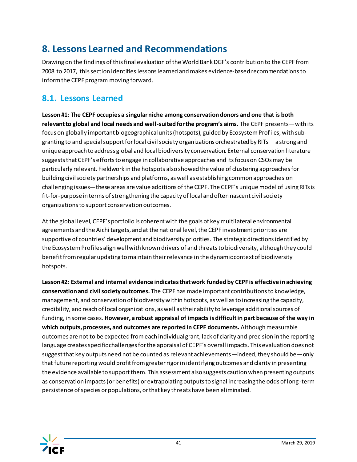## <span id="page-42-0"></span>**8. Lessons Learned and Recommendations**

Drawing on the findings of this final evaluation of the World Bank DGF's contribution to the CEPF from 2008 to 2017, this section identifies lessons learned andmakes evidence-based recommendations to inform the CEPF program moving forward.

### <span id="page-42-1"></span>**8.1. Lessons Learned**

**Lesson #1: The CEPF occupies a singular niche among conservation donors and one that is both relevant to global and local needs and well-suited for the program's aims**. The CEPF presents—with its focus on globally important biogeographical units (hotspots), guided by Ecosystem Profiles, with subgranting to and special support for local civil society organizations orchestrated by RITs—a strong and unique approach to address global and local biodiversity conservation. External conservation literature suggests that CEPF's efforts to engage in collaborative approaches and its focus on CSOs may be particularly relevant. Fieldwork in the hotspots also showed the value of clustering approaches for building civil society partnerships and platforms, as well as establishing common approaches on challenging issues—these areas are value additions of the CEPF. The CEPF's unique model of using RITs is fit-for-purpose in terms of strengthening the capacity of local and often nascent civil society organizations to support conservation outcomes.

At the global level, CEPF's portfolio is coherent with the goals of key multilateral environmental agreements and the Aichi targets, and at the national level, the CEPF investment priorities are supportive of countries' development and biodiversity priorities. The strategic directions identified by the Ecosystem Profiles align well with known drivers of and threats to biodiversity, although they could benefit from regular updating to maintain their relevance in the dynamic context of biodiversity hotspots.

**Lesson #2: External and internal evidence indicates that work funded by CEPF is effective in achieving conservation and civil society outcomes.** The CEPF has made important contributions to knowledge, management, and conservation of biodiversity within hotspots, as well as to increasing the capacity, credibility, and reach of local organizations, as well as their ability to leverage additional sources of funding, in some cases. **However, a robust appraisal of impacts is difficult in part because of the way in which outputs, processes, and outcomes are reported in CEPF documents.** Although measurable outcomes are not to be expected from each individual grant, lack of clarity and precision in the reporting language creates specific challenges for the appraisal of CEPF's overall impacts. This evaluation does not suggest that key outputs need not be counted as relevant achievements—indeed, they should be—only that future reporting would profit from greater rigor in identifying outcomes and clarity in presenting the evidence available to support them. This assessment also suggests caution when presenting outputs as conservation impacts (or benefits) or extrapolating outputs to signal increasing the odds of long-term persistence of species or populations, or that key threats have been eliminated.

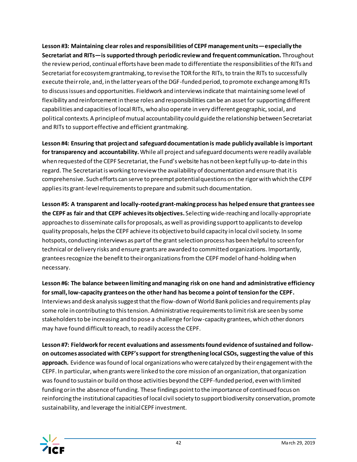**Lesson #3: Maintaining clear roles and responsibilities of CEPF management units—especially the Secretariat and RITs—is supported through periodic review and frequent communication.** Throughout the review period, continual efforts have been made to differentiate the responsibilities ofthe RITs and Secretariat for ecosystem grantmaking, to revise the TOR for the RITs, to train the RITs to successfully execute their role, and, in the latter years of the DGF-funded period, to promote exchange among RITs to discuss issues and opportunities. Fieldwork and interviews indicate that maintaining some level of flexibility and reinforcement in these roles and responsibilities can be an asset for supporting different capabilities and capacities of local RITs, who also operate in very different geographic, social, and political contexts. A principle of mutual accountability could guide the relationship between Secretariat and RITs to support effective and efficient grantmaking.

**Lesson #4: Ensuring that project and safeguard documentation is made publicly available is important for transparency and accountability.** While all project and safeguard documents were readily available when requested of the CEPF Secretariat, the Fund's website has not been kept fully up-to-date in this regard. The Secretariat is working to review the availability of documentation and ensure that it is comprehensive. Such efforts can serve to preempt potential questions on the rigor with which the CEPF applies its grant-level requirements to prepare and submit such documentation.

**Lesson #5: A transparent and locally-rooted grant-making process has helped ensure that grantees see the CEPF as fair and that CEPF achieves its objectives.** Selecting wide-reaching and locally-appropriate approaches to disseminate calls for proposals, as well as providing support to applicants to develop quality proposals, helps the CEPF achieve its objective to build capacity in local civil society. In some hotspots, conducting interviews as part of the grant selection process has been helpful to screen for technical or delivery risks and ensure grants are awarded to committed organizations. Importantly, grantees recognize the benefit to their organizations from the CEPF model of hand-holding when necessary.

**Lesson #6: The balance between limiting and managing risk on one hand and administrative efficiency for small, low-capacity grantees on the other hand has become a point of tension for the CEPF.** Interviews and desk analysis suggest that the flow-down of World Bank policies and requirements play some role in contributing to this tension. Administrative requirements to limit risk are seen by some stakeholders to be increasing and to pose a challenge for low-capacity grantees, which other donors may have found difficult to reach, to readily access the CEPF.

**Lesson #7: Fieldwork for recent evaluations and assessments found evidence of sustained and followon outcomes associated with CEPF's support for strengthening local CSOs, suggesting the value of this approach.** Evidence was found of local organizations who were catalyzed by their engagement with the CEPF. In particular, when grants were linked to the core mission of an organization, that organization was found to sustain or build on those activities beyond the CEPF-funded period, even with limited funding or in the absence of funding. These findings point to the importance of continued focus on reinforcing the institutional capacities of local civil society to support biodiversity conservation, promote sustainability, and leverage the initial CEPF investment.

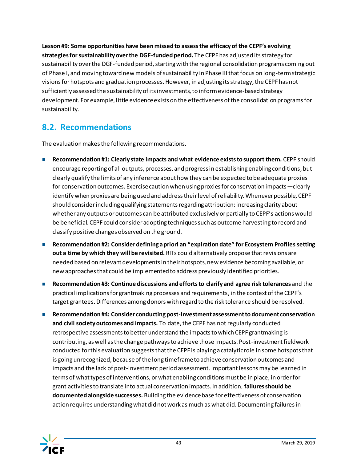**Lesson #9: Some opportunities have been missed to assess the efficacy of the CEPF's evolving strategies for sustainability over the DGF-funded period.** The CEPF has adjusted itsstrategy for sustainability over the DGF-funded period, starting with the regional consolidation programs coming out of Phase I, and moving toward new models of sustainability in Phase III that focus on long-term strategic visions for hotspots and graduation processes. However, in adjusting its strategy, the CEPF has not sufficiently assessed the sustainability of its investments, to inform evidence-based strategy development. For example, little evidence exists on the effectiveness of the consolidation programs for sustainability.

### <span id="page-44-0"></span>**8.2. Recommendations**

The evaluation makes the following recommendations.

- **Recommendation #1: Clearly state impacts and what evidence exists to support them.** CEPF should encourage reporting of all outputs, processes, and progress in establishing enabling conditions, but clearly qualify the limits of any inference about how they can be expected to be adequate proxies for conservation outcomes. Exercise caution when using proxies for conservation impacts—clearly identify when proxies are being used and address their level of reliability. Whenever possible, CEPF should consider including qualifying statements regarding attribution: increasing clarity about whether any outputs or outcomes can be attributed exclusively or partially to CEPF's actions would be beneficial. CEPF could consider adopting techniques such as outcome harvesting to record and classify positive changes observed on the ground.
- **Recommendation #2: Consider defining a priori an "expiration date" for Ecosystem Profiles setting out a time by which they will be revisited.** RITs could alternatively propose that revisions are needed based on relevant developments in their hotspots, new evidence becoming available, or new approaches that could be implemented to address previously identified priorities.
- **Recommendation #3: Continue discussions and efforts to clarify and agree risk tolerances** and the practical implications for grantmaking processes and requirements, in the context of the CEPF's target grantees.Differences among donors with regard to the risk tolerance should be resolved.
- Recommendation #4: Consider conducting post-investment assessment to document conservation **and civil society outcomes and impacts.** To date, the CEPF has not regularly conducted retrospective assessments to better understand the impacts to which CEPF grantmaking is contributing, as well as the change pathways to achieve those impacts. Post-investment fieldwork conducted for this evaluation suggests that the CEPF is playing a catalytic role in some hotspots that is going unrecognized, because of the long timeframe to achieve conservation outcomes and impacts and the lack of post-investment period assessment. Important lessons may be learned in terms of what types of interventions, or what enabling conditions must be in place, in order for grant activities to translate into actual conservation impacts. In addition, **failures should be documented alongside successes.** Building the evidence base for effectiveness of conservation action requires understanding what did not work as much as what did. Documenting failures in

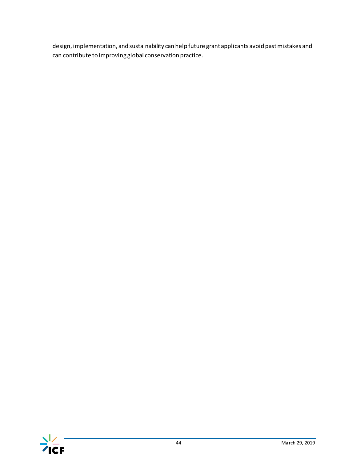design, implementation, and sustainability can help future grant applicants avoid past mistakes and can contribute to improving global conservation practice.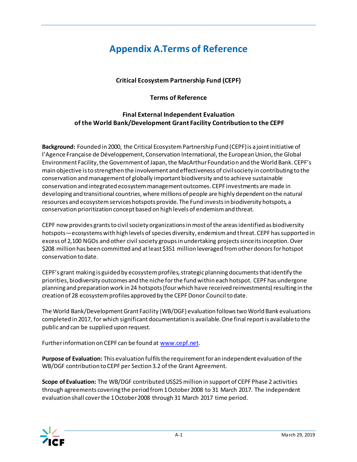## **Appendix A.Terms of Reference**

### **Critical Ecosystem Partnership Fund (CEPF)**

### **Terms of Reference**

### **Final External Independent Evaluation of the World Bank/Development Grant Facility Contribution to the CEPF**

**Background:** Founded in 2000, the Critical Ecosystem Partnership Fund (CEPF) is a joint initiative of l'Agence Française de Développement, Conservation International, the European Union, the Global Environment Facility, the Government of Japan, the MacArthur Foundation and the World Bank. CEPF's main objective is to strengthen the involvement and effectiveness of civil society in contributing to the conservation and management of globally important biodiversity and to achieve sustainable conservation and integrated ecosystem management outcomes. CEPF investments are made in developing and transitional countries, where millions of people are highly dependent on the natural resources and ecosystem services hotspots provide. The Fund invests in biodiversity hotspots, a conservation prioritization concept based on high levels of endemism and threat.

CEPF now provides grants to civil society organizations in most of the areas identified as biodiversity hotspots—ecosystems with high levels of species diversity, endemism and threat. CEPF has supported in excess of 2,100 NGOs and other civil society groups in undertaking projects since its inception. Over \$208 million has been committed and at least \$351 million leveraged from other donors for hotspot conservation to date.

CEPF's grant making is guided by ecosystem profiles, strategic planning documents that identify the priorities, biodiversity outcomes and the niche for the fund within each hotspot. CEPF has undergone planning and preparation work in 24 hotspots (four which have received reinvestments) resulting in the creation of 28 ecosystem profiles approved by the CEPF Donor Council to date.

The World Bank/Development Grant Facility (WB/DGF) evaluation follows two World Bank evaluations completed in 2017, for which significant documentation is available. One final report is available to the public and can be supplied upon request.

Further information on CEPF can be found a[t www.cepf.net](http://www.cepf.net/).

**Purpose of Evaluation:** This evaluation fulfils the requirement for an independent evaluation of the WB/DGF contribution to CEPF per Section 3.2 of the Grant Agreement.

**Scope of Evaluation:** The WB/DGF contributed US\$25 million in support of CEPF Phase 2 activities through agreements covering the period from 1 October 2008 to 31 March 2017. The independent evaluation shall cover the 1 October 2008 through 31 March 2017 time period.

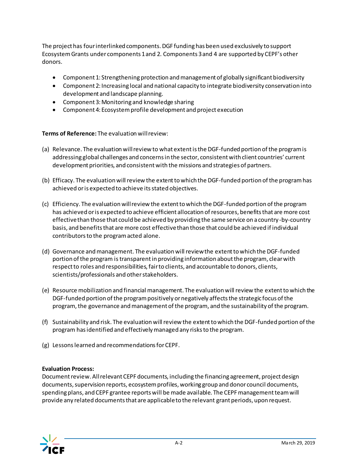The project has four interlinked components. DGF funding has been used exclusively to support Ecosystem Grants under components 1 and 2. Components 3 and 4 are supported by CEPF's other donors.

- Component 1: Strengthening protection and management of globally significant biodiversity
- Component 2: Increasing local and national capacity to integrate biodiversity conservation into development and landscape planning.
- Component 3: Monitoring and knowledge sharing
- Component 4: Ecosystem profile development and project execution

#### **Terms of Reference:** The evaluation will review:

- (a) Relevance. The evaluation will review to what extent is the DGF-funded portion of the program is addressing global challenges and concerns in the sector, consistent with client countries' current development priorities, and consistent with the missions and strategies of partners.
- (b) Efficacy. The evaluation will review the extent to which the DGF-funded portion of the program has achieved or is expected to achieve its stated objectives.
- (c) Efficiency. The evaluation will review the extent to which the DGF-funded portion of the program has achieved or is expected to achieve efficient allocation of resources, benefits that are more cost effective than those that could be achieved by providing the same service on a country-by-country basis, and benefits that are more cost effective than those that could be achieved if individual contributors to the program acted alone.
- (d) Governance and management. The evaluation will review the extent to which the DGF-funded portion of the program is transparent in providing information about the program, clear with respect to roles and responsibilities, fair to clients, and accountable to donors, clients, scientists/professionals and other stakeholders.
- (e) Resource mobilization and financial management. The evaluation will review the extent to which the DGF-funded portion of the program positively or negatively affects the strategic focus of the program, the governance and management of the program, and the sustainability of the program.
- (f) Sustainability and risk. The evaluation will review the extent to which the DGF-funded portion of the program has identified and effectively managed any risks to the program.
- (g) Lessons learned and recommendations for CEPF.

#### **Evaluation Process:**

Document review. All relevant CEPF documents, including the financing agreement, project design documents, supervision reports, ecosystem profiles, working group and donor council documents, spending plans, and CEPF grantee reports will be made available. The CEPF management team will provide any related documents that are applicable to the relevant grant periods, upon request.

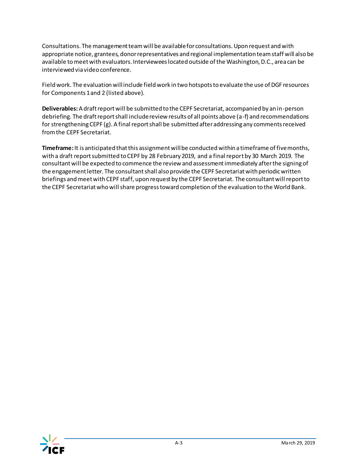Consultations. The management team will be available for consultations. Upon request and with appropriate notice, grantees, donor representatives and regional implementation team staff will also be available to meet with evaluators. Interviewees located outside of the Washington, D.C., area can be interviewed via video conference.

Field work. The evaluation will include field work in two hotspots to evaluate the use of DGF resources for Components 1 and 2 (listed above).

**Deliverables:** A draft report will be submitted to the CEPF Secretariat, accompanied by an in-person debriefing. The draft report shall include review results of all points above (a-f) and recommendations for strengthening CEPF (g). A final report shall be submitted after addressing any comments received from the CEPF Secretariat.

**Timeframe:** It is anticipated that this assignment will be conducted within a timeframe of five months, with a draft report submitted to CEPF by 28 February 2019, and a final report by 30 March 2019. The consultant will be expected to commence the review and assessment immediately after the signing of the engagement letter. The consultant shall also provide the CEPF Secretariat with periodic written briefings and meet with CEPF staff, upon request by the CEPF Secretariat. The consultant will report to the CEPF Secretariat who will share progress toward completion of the evaluation to the World Bank.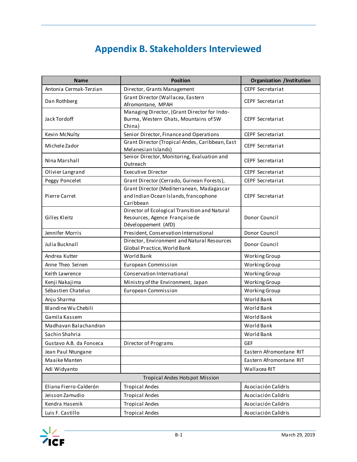# <span id="page-49-0"></span>**Appendix B. Stakeholders Interviewed**

| <b>Name</b>             | <b>Position</b>                                                                                        | <b>Organization /Institution</b> |
|-------------------------|--------------------------------------------------------------------------------------------------------|----------------------------------|
| Antonia Cermak-Terzian  | Director, Grants Management                                                                            | CEPF Secretariat                 |
| Dan Rothberg            | Grant Director (Wallacea, Eastern<br>Afromontane, MPAH                                                 | <b>CEPF Secretariat</b>          |
| Jack Tordoff            | Managing Director, (Grant Director for Indo-<br>Burma, Western Ghats, Mountains of SW<br>China)        | <b>CEPF Secretariat</b>          |
| Kevin McNulty           | Senior Director, Finance and Operations                                                                | <b>CEPF Secretariat</b>          |
| Michele Zador           | Grant Director (Tropical Andes, Caribbean, East<br>Melanesian Islands)                                 | <b>CEPF Secretariat</b>          |
| Nina Marshall           | Senior Director, Monitoring, Evaluation and<br>Outreach                                                | <b>CEPF Secretariat</b>          |
| Olivier Langrand        | <b>Executive Director</b>                                                                              | <b>CEPF Secretariat</b>          |
| Peggy Poncelet          | Grant Director (Cerrado, Guinean Forests),                                                             | <b>CEPF Secretariat</b>          |
| Pierre Carret           | Grant Director (Mediterranean, Madagascar<br>and Indian Ocean Islands, francophone<br>Caribbean        | <b>CEPF Secretariat</b>          |
| Gilles Kleitz           | Director of Ecological Transition and Natural<br>Resources, Agence Française de<br>Développement (AfD) | Donor Council                    |
| Jennifer Morris         | President, Conservation International                                                                  | Donor Council                    |
| Julia Bucknall          | Director, Environment and Natural Resources<br>Global Practice, World Bank                             | Donor Council                    |
| Andrea Kutter           | World Bank                                                                                             | Working Group                    |
| Anne Theo Seinen        | European Commission                                                                                    | Working Group                    |
| Keith Lawrence          | Conservation International                                                                             | Working Group                    |
| Kenji Nakajima          | Ministry of the Environment, Japan                                                                     | Working Group                    |
| Sébastien Chatelus      | European Commission                                                                                    | Working Group                    |
| Anju Sharma             |                                                                                                        | World Bank                       |
| Blandine Wu Chebili     |                                                                                                        | World Bank                       |
| Gamila Kassem           |                                                                                                        | World Bank                       |
| Madhavan Balachandran   |                                                                                                        | World Bank                       |
| Sachin Shahria          |                                                                                                        | World Bank                       |
| Gustavo A.B. da Fonseca | Director of Programs                                                                                   | <b>GEF</b>                       |
| Jean Paul Ntungane      |                                                                                                        | Eastern Afromontane RIT          |
| Maaike Manten           |                                                                                                        | Eastern Afromontane RIT          |
| Adi Widyanto            |                                                                                                        | Wallacea RIT                     |
|                         | <b>Tropical Andes Hotspot Mission</b>                                                                  |                                  |
| Eliana Fierro-Calderón  | <b>Tropical Andes</b>                                                                                  | Asociación Calidris              |
| Jeisson Zamudio         | <b>Tropical Andes</b>                                                                                  | Asociación Calidris              |
| Kendra Hasenik          | <b>Tropical Andes</b>                                                                                  | Asociación Calidris              |
| Luis F. Castillo        | <b>Tropical Andes</b>                                                                                  | Asociación Calidris              |

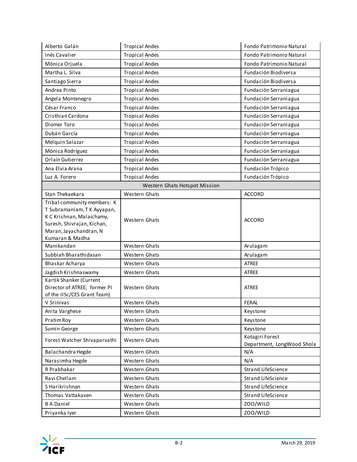| Alberto Galán                                                                                                                                                      | <b>Tropical Andes</b>         | Fondo Patrimonio Natural                      |
|--------------------------------------------------------------------------------------------------------------------------------------------------------------------|-------------------------------|-----------------------------------------------|
| Inés Cavalier                                                                                                                                                      | <b>Tropical Andes</b>         | Fondo Patrimonio Natural                      |
| Mónica Orjuela                                                                                                                                                     | <b>Tropical Andes</b>         | Fondo Patrimonio Natural                      |
| Martha L. Silva                                                                                                                                                    | <b>Tropical Andes</b>         | Fundación Biodiversa                          |
| Santiago Sierra                                                                                                                                                    | <b>Tropical Andes</b>         | Fundación Biodiversa                          |
| Andrea Pinto                                                                                                                                                       | <b>Tropical Andes</b>         | Fundación Serraniagua                         |
| Angela Montenegro                                                                                                                                                  | <b>Tropical Andes</b>         | Fundación Serraniagua                         |
| César Franco                                                                                                                                                       | <b>Tropical Andes</b>         | Fundación Serraniagua                         |
| Cristhian Cardona                                                                                                                                                  | <b>Tropical Andes</b>         | Fundación Serraniagua                         |
| Diomer Toro                                                                                                                                                        | <b>Tropical Andes</b>         | Fundación Serraniagua                         |
| Dubán García                                                                                                                                                       | <b>Tropical Andes</b>         | Fundación Serraniagua                         |
| Melquin Salazar                                                                                                                                                    | <b>Tropical Andes</b>         | Fundación Serraniagua                         |
| Mónica Rodríguez                                                                                                                                                   | <b>Tropical Andes</b>         | Fundación Serraniagua                         |
| Orlaín Gutierrez                                                                                                                                                   | <b>Tropical Andes</b>         | Fundación Serraniagua                         |
| Ana Elvia Arana                                                                                                                                                    | <b>Tropical Andes</b>         | Fundación Trópico                             |
| Luz A. Forero                                                                                                                                                      | <b>Tropical Andes</b>         | Fundación Trópico                             |
|                                                                                                                                                                    | Western Ghats Hotspot Mission |                                               |
| Stan Thekaekara                                                                                                                                                    | Western Ghats                 | <b>ACCORD</b>                                 |
| Tribal community members: K<br>T Subramaniam, T K Ayyapan,<br>K C Krishnan, Malaichamy,<br>Suresh, Shivrajan, Kichan,<br>Maran, Jayachandran, N<br>Kumaran & Madha | Western Ghats                 | <b>ACCORD</b>                                 |
| Manikandan                                                                                                                                                         | Western Ghats                 | Arulagam                                      |
| Subbiah Bharathidasan                                                                                                                                              | Western Ghats                 | Arulagam                                      |
| Bhaskar Acharya                                                                                                                                                    | Western Ghats                 | ATREE                                         |
| Jagdish Krishnaswamy                                                                                                                                               | Western Ghats                 | <b>ATREE</b>                                  |
| Kartik Shanker (Current<br>Director of ATREE; former PI<br>of the IISc/CES Grant Team)                                                                             | Western Ghats                 | <b>ATREE</b>                                  |
| V Srinivas                                                                                                                                                         | Western Ghats                 | FERAL                                         |
| Anita Varghese                                                                                                                                                     | Western Ghats                 | Keystone                                      |
| Pratim Roy                                                                                                                                                         | Western Ghats                 | Keystone                                      |
| Sumin George                                                                                                                                                       | Western Ghats                 | Keystone                                      |
| Forest Watcher Shivaparvathi                                                                                                                                       | Western Ghats                 | Kotagiri Forest<br>Department, LongWood Shola |
| Balachandra Hegde                                                                                                                                                  | Western Ghats                 | N/A                                           |
| Narasimha Hegde                                                                                                                                                    | Western Ghats                 | N/A                                           |
| R Prabhakar                                                                                                                                                        | Western Ghats                 | Strand LifeScience                            |
| Ravi Chellam                                                                                                                                                       | Western Ghats                 | Strand LifeScience                            |
| S Harikrishnan                                                                                                                                                     | Western Ghats                 | Strand LifeScience                            |
| Thomas Vattakaven                                                                                                                                                  | Western Ghats                 | Strand LifeScience                            |
| <b>BADaniel</b>                                                                                                                                                    | Western Ghats                 | ZOO/WILD                                      |
| Priyanka Iyer                                                                                                                                                      | Western Ghats                 | ZOO/WILD                                      |

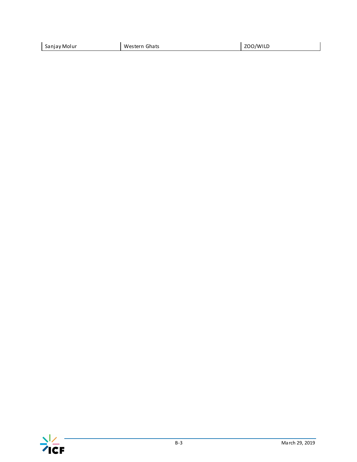| Sanjay Molur | Western<br>Ghats | ZOO/WILD<br>-- |
|--------------|------------------|----------------|
|              |                  |                |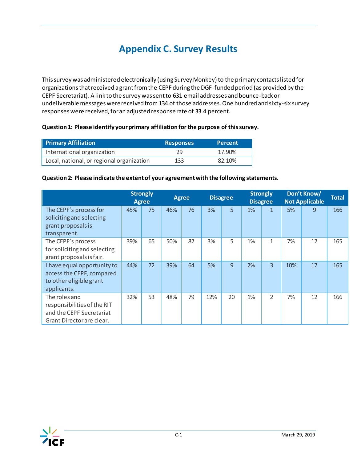# <span id="page-52-0"></span>**Appendix C. Survey Results**

This survey was administered electronically (using Survey Monkey) to the primary contacts listed for organizations that received a grant from the CEPF during the DGF-funded period (as provided by the CEPF Secretariat). A link to the survey was sent to 631 email addresses and bounce-back or undeliverable messages were received from 134 of those addresses. One hundred and sixty-six survey responses were received, for an adjusted response rate of 33.4 percent.

#### **Question 1: Please identify your primary affiliation for the purpose of this survey.**

| <b>Primary Affiliation</b>                | <b>Responses</b> | <b>Percent</b> |
|-------------------------------------------|------------------|----------------|
| International organization                | 29               | 17.90%         |
| Local, national, or regional organization | 133              | 82.10%         |

#### **Question 2: Please indicate the extent of your agreement with the following statements.**

|                                                                                                       | <b>Strongly</b><br><b>Agree</b> |    | <b>Agree</b> |    | <b>Disagree</b> |    | <b>Strongly</b><br><b>Disagree</b> |                          | Don't Know/<br><b>Not Applicable</b> |    | <b>Total</b> |
|-------------------------------------------------------------------------------------------------------|---------------------------------|----|--------------|----|-----------------|----|------------------------------------|--------------------------|--------------------------------------|----|--------------|
| The CEPF's process for<br>soliciting and selecting<br>grant proposals is<br>transparent.              | 45%                             | 75 | 46%          | 76 | 3%              | 5  | 1%                                 | $\mathbf{1}$             | 5%                                   | 9  | 166          |
| The CEPF's process<br>for soliciting and selecting<br>grant proposals is fair.                        | 39%                             | 65 | 50%          | 82 | 3%              | 5  | 1%                                 | 1                        | 7%                                   | 12 | 165          |
| I have equal opportunity to<br>access the CEPF, compared<br>to other eligible grant<br>applicants.    | 44%                             | 72 | 39%          | 64 | 5%              | 9  | 2%                                 | 3                        | 10%                                  | 17 | 165          |
| The roles and<br>responsibilities of the RIT<br>and the CEPF Secretariat<br>Grant Director are clear. | 32%                             | 53 | 48%          | 79 | 12%             | 20 | 1%                                 | $\overline{\mathcal{L}}$ | 7%                                   | 12 | 166          |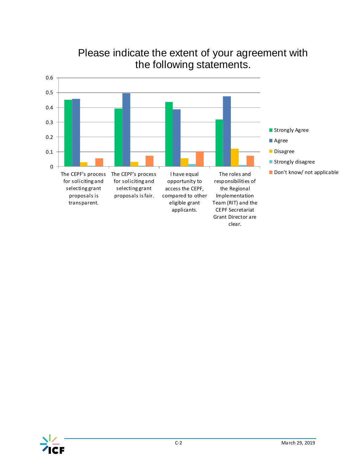

## Please indicate the extent of your agreement with the following statements.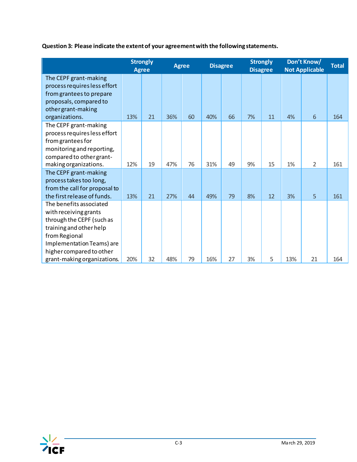**Question 3: Please indicate the extent of your agreement with the following statements.**

|                                                                                                                                                                                                                   | <b>Strongly</b><br><b>Agree</b> |          | <b>Agree</b> |          | <b>Disagree</b> |          | <b>Strongly</b><br><b>Disagree</b> |          | Don't Know/<br><b>Not Applicable</b> |                     | <b>Total</b> |
|-------------------------------------------------------------------------------------------------------------------------------------------------------------------------------------------------------------------|---------------------------------|----------|--------------|----------|-----------------|----------|------------------------------------|----------|--------------------------------------|---------------------|--------------|
| The CEPF grant-making<br>process requires less effort<br>from grantees to prepare<br>proposals, compared to<br>other grant-making                                                                                 |                                 |          |              |          |                 |          |                                    |          |                                      |                     |              |
| organizations.<br>The CEPF grant-making<br>process requires less effort<br>from grantees for<br>monitoring and reporting,<br>compared to other grant-<br>making organizations.                                    | 13%<br>12%                      | 21<br>19 | 36%<br>47%   | 60<br>76 | 40%<br>31%      | 66<br>49 | 7%<br>9%                           | 11<br>15 | 4%<br>1%                             | 6<br>$\overline{2}$ | 164<br>161   |
| The CEPF grant-making<br>process takes too long,<br>from the call for proposal to<br>the first release of funds.                                                                                                  | 13%                             | 21       | 27%          | 44       | 49%             | 79       | 8%                                 | 12       | 3%                                   | 5                   | 161          |
| The benefits associated<br>with receiving grants<br>through the CEPF (such as<br>training and other help<br>from Regional<br>Implementation Teams) are<br>higher compared to other<br>grant-making organizations. | 20%                             | 32       | 48%          | 79       | 16%             | 27       | 3%                                 | 5        | 13%                                  | 21                  | 164          |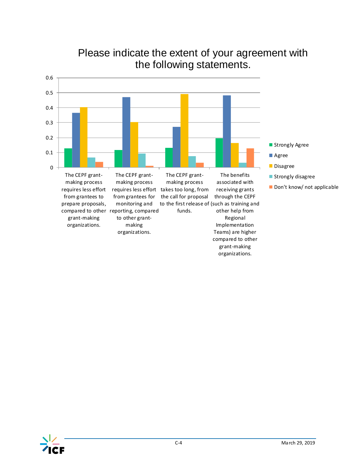

## Please indicate the extent of your agreement with the following statements.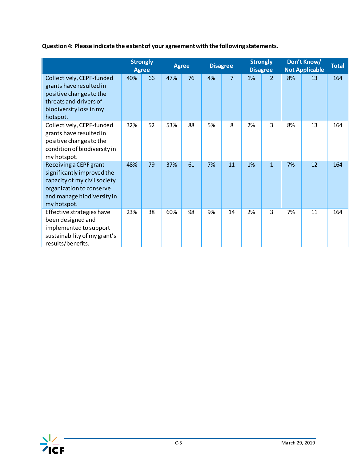**Question 4: Please indicate the extent of your agreement with the following statements.**

|                                                                                                                                                               | <b>Strongly</b><br><b>Agree</b> |    | <b>Agree</b> |    | <b>Disagree</b> |                | <b>Strongly</b><br><b>Disagree</b> |              | Don't Know/<br><b>Not Applicable</b> |    | <b>Total</b> |
|---------------------------------------------------------------------------------------------------------------------------------------------------------------|---------------------------------|----|--------------|----|-----------------|----------------|------------------------------------|--------------|--------------------------------------|----|--------------|
| Collectively, CEPF-funded<br>grants have resulted in<br>positive changes to the<br>threats and drivers of<br>biodiversity loss in my<br>hotspot.              | 40%                             | 66 | 47%          | 76 | 4%              | $\overline{7}$ | 1%                                 | 2            | 8%                                   | 13 | 164          |
| Collectively, CEPF-funded<br>grants have resulted in<br>positive changes to the<br>condition of biodiversity in<br>my hotspot.                                | 32%                             | 52 | 53%          | 88 | 5%              | 8              | 2%                                 | 3            | 8%                                   | 13 | 164          |
| Receiving a CEPF grant<br>significantly improved the<br>capacity of my civil society<br>organization to conserve<br>and manage biodiversity in<br>my hotspot. | 48%                             | 79 | 37%          | 61 | 7%              | 11             | 1%                                 | $\mathbf{1}$ | 7%                                   | 12 | 164          |
| Effective strategies have<br>been designed and<br>implemented to support<br>sustainability of my grant's<br>results/benefits.                                 | 23%                             | 38 | 60%          | 98 | 9%              | 14             | 2%                                 | 3            | 7%                                   | 11 | 164          |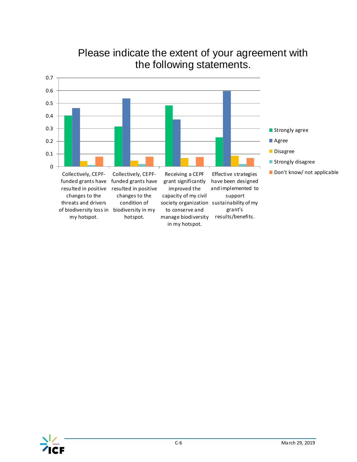

## Please indicate the extent of your agreement with the following statements.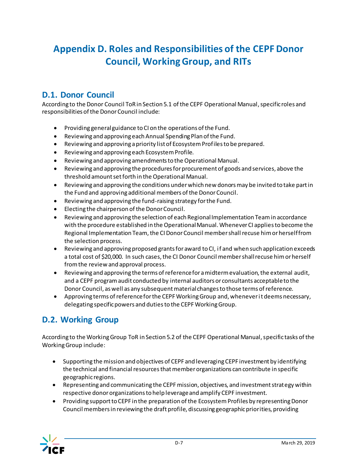# <span id="page-58-0"></span>**Appendix D. Roles and Responsibilities of the CEPF Donor Council, Working Group, and RITs**

## **D.1. Donor Council**

According to the Donor Council ToRin Section 5.1 of the CEPF Operational Manual, specific roles and responsibilities of the Donor Council include:

- Providing general guidance to CI on the operations of the Fund.
- Reviewing and approving each Annual Spending Plan of the Fund.
- Reviewing and approving a priority list of Ecosystem Profiles to be prepared.
- Reviewing and approving each Ecosystem Profile.
- Reviewing and approving amendments to the Operational Manual.
- Reviewing and approving the procedures for procurement of goods and services, above the threshold amount set forth in the Operational Manual.
- Reviewing and approving the conditions under which new donors may be invited to take part in the Fund and approving additional members of the Donor Council.
- Reviewing and approving the fund-raising strategy for the Fund.
- Electing the chairperson of the Donor Council.
- Reviewing and approving the selection of each Regional Implementation Team in accordance with the procedure established in the Operational Manual. Whenever CI applies to become the Regional Implementation Team, the CI Donor Council member shall recuse him or herself from the selection process.
- Reviewing and approving proposed grants for award to CI, if and when such application exceeds a total cost of \$20,000. In such cases, the CI Donor Council member shall recuse him or herself from the review and approval process.
- Reviewing and approving the terms of reference for a midterm evaluation, the external audit, and a CEPF program audit conducted by internal auditors or consultants acceptable to the Donor Council, as well as any subsequent material changes to those terms of reference.
- Approving terms of reference for the CEPF Working Group and, whenever it deems necessary, delegating specific powers and duties to the CEPF Working Group.

### **D.2. Working Group**

According to the Working Group ToR in Section 5.2 of the CEPF Operational Manual, specific tasks of the Working Group include:

- Supporting the mission and objectives of CEPF and leveraging CEPF investment by identifying the technical and financial resources that member organizations can contribute in specific geographic regions.
- Representing and communicating the CEPF mission, objectives, and investment strategy within respective donor organizations to help leverage and amplify CEPF investment.
- Providing support to CEPF in the preparation of the Ecosystem Profiles by representing Donor Council members in reviewing the draft profile, discussing geographic priorities, providing

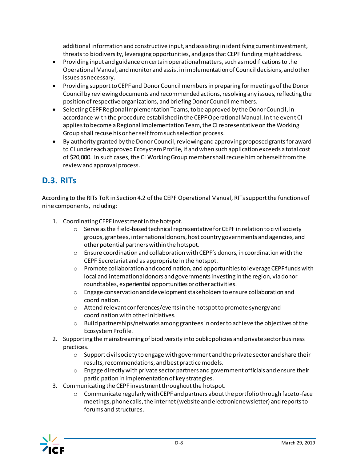additional information and constructive input, and assisting in identifying current investment, threats to biodiversity, leveraging opportunities, and gaps that CEPF funding might address.

- Providing input and guidance on certain operational matters, such as modifications to the Operational Manual, and monitor and assist in implementation of Council decisions, and other issues as necessary.
- Providing support to CEPF and Donor Council members in preparing for meetings of the Donor Council by reviewing documents and recommended actions, resolving any issues, reflecting the position of respective organizations, and briefing Donor Council members.
- Selecting CEPF Regional Implementation Teams, to be approved by the Donor Council, in accordance with the procedure established in the CEPF Operational Manual. In the event CI applies to become a Regional Implementation Team, the CI representative on the Working Group shall recuse his or her self from such selection process.
- By authority granted by the Donor Council, reviewing and approving proposed grants for award to CI under each approved Ecosystem Profile, if and when such application exceeds a total cost of \$20,000. In such cases, the CI Working Group member shall recuse him or herself from the review and approval process.

## **D.3. RITs**

According to the RITs ToR in Section 4.2 of the CEPF Operational Manual, RITs support the functions of nine components, including:

- 1. Coordinating CEPF investment in the hotspot.
	- $\circ$  Serve as the field-based technical representative for CEPF in relation to civil society groups, grantees, international donors, host country governments and agencies, and other potential partners within the hotspot.
	- o Ensure coordination and collaboration with CEPF's donors, in coordination with the CEPF Secretariat and as appropriate in the hotspot.
	- o Promote collaboration and coordination, and opportunities to leverage CEPF funds with local and international donors and governments investing in the region, via donor roundtables, experiential opportunities or other activities.
	- $\circ$  Engage conservation and development stakeholders to ensure collaboration and coordination.
	- o Attend relevant conferences/events in the hotspot to promote synergy and coordination with other initiatives.
	- o Build partnerships/networks among grantees in order to achieve the objectives of the Ecosystem Profile.
- 2. Supporting the mainstreaming of biodiversity into public policies and private sector business practices.
	- $\circ$  Support civil society to engage with government and the private sector and share their results, recommendations, and best practice models.
	- $\circ$  Engage directly with private sector partners and government officials and ensure their participation in implementation of key strategies.
- 3. Communicating the CEPF investment throughout the hotspot.
	- $\circ$  Communicate regularly with CEPF and partners about the portfolio through faceto-face meetings, phone calls, the internet (website and electronic newsletter) and reports to forums and structures.

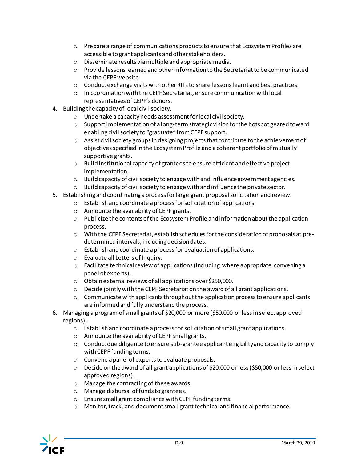- $\circ$  Prepare a range of communications products to ensure that Ecosystem Profiles are accessible to grant applicants and other stakeholders.
- o Disseminate results via multiple and appropriate media.
- o Provide lessons learned and other information to the Secretariat to be communicated via the CEPF website.
- $\circ$  Conduct exchange visits with other RITs to share lessons learnt and best practices.
- o In coordination with the CEPF Secretariat, ensure communication with local representatives of CEPF's donors.
- 4. Building the capacity of local civil society.
	- o Undertake a capacity needs assessment for local civil society.
	- $\circ$  Support implementation of a long-term strategic vision for the hotspot geared toward enabling civil society to "graduate" from CEPF support.
	- o Assist civil society groups in designing projects that contribute to the achievement of objectives specified in the Ecosystem Profile and a coherent portfolio of mutually supportive grants.
	- o Build institutional capacity of grantees to ensure efficient and effective project implementation.
	- $\circ$  Build capacity of civil society to engage with and influence government agencies.
	- o Build capacity of civil society to engage with and influence the private sector.
- 5. Establishing and coordinating a process for large grant proposal solicitation and review.
	- o Establish and coordinate a process for solicitation of applications.
	- o Announce the availability of CEPF grants.
	- o Publicize the contents of the Ecosystem Profile and information about the application process.
	- o With the CEPF Secretariat, establish schedules for the consideration of proposals at predetermined intervals, including decision dates.
	- o Establish and coordinate a process for evaluation of applications.
	- o Evaluate all Letters of Inquiry.
	- o Facilitate technical review of applications (including, where appropriate, convening a panel of experts).
	- o Obtain external reviews of all applications over \$250,000.
	- $\circ$  Decide jointly with the CEPF Secretariat on the award of all grant applications.
	- $\circ$  Communicate with applicants throughout the application process to ensure applicants are informed and fully understand the process.
- 6. Managing a program of small grants of \$20,000 or more (\$50,000 or less in select approved regions).
	- $\circ$  Establish and coordinate a process for solicitation of small grant applications.
	- o Announce the availability of CEPF small grants.
	- $\circ$  Conduct due diligence to ensure sub-grantee applicant eligibility and capacity to comply with CEPF funding terms.
	- o Convene a panel of experts to evaluate proposals.
	- $\circ$  Decide on the award of all grant applications of \$20,000 or less (\$50,000 or less in select approved regions).
	- o Manage the contracting of these awards.
	- o Manage disbursal of funds to grantees.
	- o Ensure small grant compliance with CEPF funding terms.
	- o Monitor, track, and document small grant technical and financial performance.

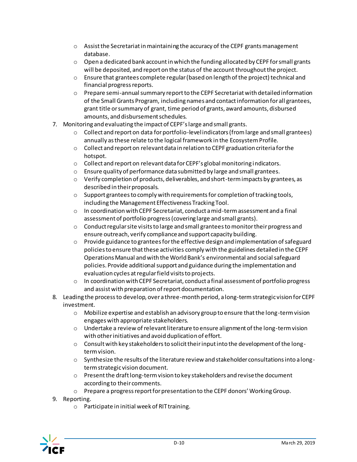- $\circ$  Assist the Secretariat in maintaining the accuracy of the CEPF grants management database.
- $\circ$  Open a dedicated bank account in which the funding allocated by CEPF for small grants will be deposited, and report on the status of the account throughout the project.
- $\circ$  Ensure that grantees complete regular (based on length of the project) technical and financial progress reports.
- o Prepare semi-annual summary report to the CEPF Secretariat with detailed information of the Small Grants Program, including names and contact information for all grantees, grant title or summary of grant, time period of grants, award amounts, disbursed amounts, and disbursement schedules.
- 7. Monitoring and evaluating the impact of CEPF's large and small grants.
	- $\circ$  Collect and report on data for portfolio-level indicators (from large and small grantees) annually as these relate to the logical framework in the Ecosystem Profile.
	- $\circ$  Collect and report on relevant data in relation to CEPF graduation criteria for the hotspot.
	- o Collect and report on relevant data for CEPF's global monitoring indicators.
	- $\circ$  Ensure quality of performance data submitted by large and small grantees.
	- $\circ$  Verify completion of products, deliverables, and short-term impacts by grantees, as described in their proposals.
	- $\circ$  Support grantees to comply with requirements for completion of tracking tools, including the Management Effectiveness Tracking Tool.
	- $\circ$  In coordination with CEPF Secretariat, conduct a mid-term assessment and a final assessment of portfolio progress (covering large and small grants).
	- $\circ$  Conduct regular site visits to large and small grantees to monitor their progress and ensure outreach, verify compliance and support capacity building.
	- o Provide guidance to grantees for the effective design and implementation of safeguard policies to ensure that these activities comply with the guidelines detailed in the CEPF Operations Manual and with the World Bank's environmental and social safeguard policies. Provide additional support and guidance during the implementation and evaluation cycles at regular field visits to projects.
	- o In coordination with CEPF Secretariat, conduct a final assessment of portfolio progress and assist with preparation of report documentation.
- 8. Leading the process to develop, over a three-month period, a long-term strategic vision for CEPF investment.
	- o Mobilize expertise and establish an advisory group to ensure that the long-term vision engages with appropriate stakeholders.
	- $\circ$  Undertake a review of relevant literature to ensure alignment of the long-term vision with other initiatives and avoid duplication of effort.
	- $\circ$  Consult with key stakeholders to solicit their input into the development of the longterm vision.
	- $\circ$  Synthesize the results of the literature review and stakeholder consultations into a longterm strategic vision document.
	- $\circ$  Present the draft long-term vision to key stakeholders and revise the document according to their comments.
	- o Prepare a progress report for presentation to the CEPF donors' Working Group.
- 9. Reporting.
	- o Participate in initial week of RIT training.

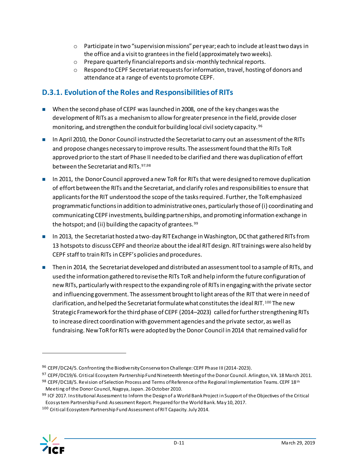- $\circ$  Participate in two "supervision missions" per year; each to include at least two days in the office and a visit to grantees in the field (approximately two weeks).
- o Prepare quarterly financial reports and six-monthly technical reports.
- o Respond to CEPF Secretariat requests for information, travel, hosting of donors and attendance at a range of events to promote CEPF.

### <span id="page-62-0"></span>**D.3.1. Evolution of the Roles and Responsibilities of RITs**

- When the second phase of CEPF was launched in 2008, one of the key changes was the development of RITs as a mechanism to allow for greater presence in the field, provide closer monitoring, and strengthen the conduit for building local civil society capacity. <sup>96</sup>
- In April 2010, the Donor Council instructed the Secretariat to carry out an assessment of the RITs and propose changes necessary to improve results. The assessment found that the RITs ToR approved prior to the start of Phase II needed to be clarified and there was duplication of effort between the Secretariat and RITs.97,98
- In 2011, the Donor Council approved a new ToR for RITs that were designed to remove duplication of effort between the RITs and the Secretariat, and clarify roles and responsibilitiesto ensure that applicants for the RIT understood the scope of the tasks required. Further, the ToRemphasized programmatic functions in addition to administrative ones, particularly those of (i) coordinating and communicating CEPF investments, building partnerships, and promoting information exchange in the hotspot; and (ii) building the capacity of grantees.<sup>99</sup>
- In 2013, the Secretariat hosted a two-day RIT Exchange in Washington, DC that gathered RITs from 13 hotspots to discuss CEPF and theorize about the ideal RIT design. RIT trainings were also held by CEPF staff to train RITs in CEPF's policies and procedures.
- Then in 2014, the Secretariat developed and distributed an assessment tool to a sample of RITs, and used the information gathered to revise the RITs ToR and help inform the future configuration of new RITs, particularly with respect to the expanding role of RITs in engaging with the private sector and influencing government. The assessment brought to light areas of the RIT that were in need of clarification, and helped the Secretariat formulate what constitutes the ideal RIT.<sup>100</sup> The new Strategic Framework for the third phase of CEPF (2014–2023) called for further strengthening RITs to increase direct coordination with government agencies and the private sector, as well as fundraising. New ToRfor RITs were adopted by the Donor Council in 2014 that remained valid for

<sup>100</sup> Critical Ecosystem Partnership Fund Assessment of RIT Capacity. July 2014.



<sup>96</sup> CEPF/DC24/5. Confronting the Biodiversity Conservation Challenge: CEPF Phase III (2014-2023).

<sup>97</sup> CEPF/DC19/6. Critical Ecosystem Partnership Fund Nineteenth Meeting of the Donor Council. Arlington, VA. 18 March 2011.

<sup>98</sup> CEPF/DC18/5. Revision of Selection Process and Terms of Reference of the Regional Implementation Teams. CEPF 18th Meeting of the Donor Council, Nagoya, Japan. 26 October 2010.

<sup>99</sup> ICF 2017. Institutional Assessment to Inform the Design of a World Bank Project in Support of the Objectives of the Critical Ecosystem Partnership Fund: Assessment Report. Prepared for the World Bank. May 10, 2017.